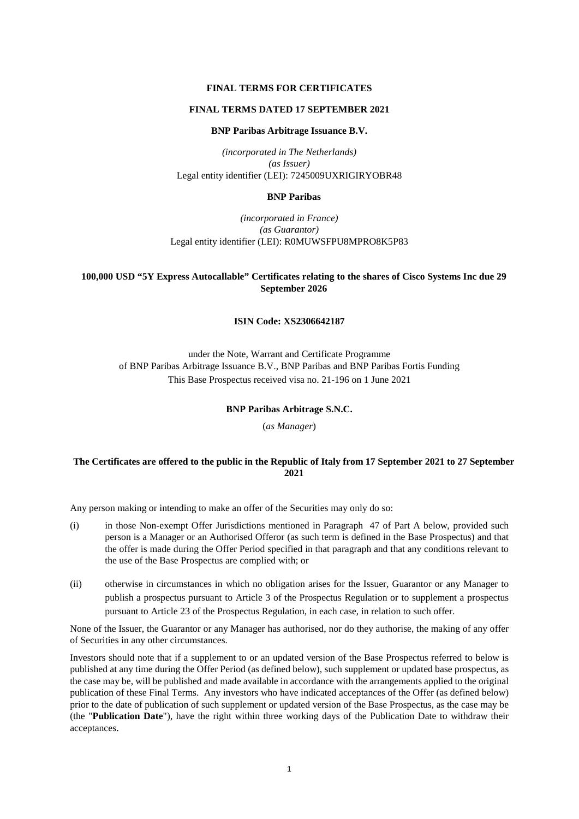# **FINAL TERMS FOR CERTIFICATES**

## **FINAL TERMS DATED 17 SEPTEMBER 2021**

## **BNP Paribas Arbitrage Issuance B.V.**

*(incorporated in The Netherlands) (as Issuer)*  Legal entity identifier (LEI): 7245009UXRIGIRYOBR48

# **BNP Paribas**

*(incorporated in France) (as Guarantor)*  Legal entity identifier (LEI): R0MUWSFPU8MPRO8K5P83

# **100,000 USD "5Y Express Autocallable" Certificates relating to the shares of Cisco Systems Inc due 29 September 2026**

# **ISIN Code: XS2306642187**

under the Note, Warrant and Certificate Programme of BNP Paribas Arbitrage Issuance B.V., BNP Paribas and BNP Paribas Fortis Funding This Base Prospectus received visa no. 21-196 on 1 June 2021

## **BNP Paribas Arbitrage S.N.C.**

(*as Manager*)

# **The Certificates are offered to the public in the Republic of Italy from 17 September 2021 to 27 September 2021**

Any person making or intending to make an offer of the Securities may only do so:

- (i) in those Non-exempt Offer Jurisdictions mentioned in Paragraph 47 of Part A below, provided such person is a Manager or an Authorised Offeror (as such term is defined in the Base Prospectus) and that the offer is made during the Offer Period specified in that paragraph and that any conditions relevant to the use of the Base Prospectus are complied with; or
- (ii) otherwise in circumstances in which no obligation arises for the Issuer, Guarantor or any Manager to publish a prospectus pursuant to Article 3 of the Prospectus Regulation or to supplement a prospectus pursuant to Article 23 of the Prospectus Regulation, in each case, in relation to such offer.

None of the Issuer, the Guarantor or any Manager has authorised, nor do they authorise, the making of any offer of Securities in any other circumstances.

Investors should note that if a supplement to or an updated version of the Base Prospectus referred to below is published at any time during the Offer Period (as defined below), such supplement or updated base prospectus, as the case may be, will be published and made available in accordance with the arrangements applied to the original publication of these Final Terms. Any investors who have indicated acceptances of the Offer (as defined below) prior to the date of publication of such supplement or updated version of the Base Prospectus, as the case may be (the "**Publication Date**"), have the right within three working days of the Publication Date to withdraw their acceptances.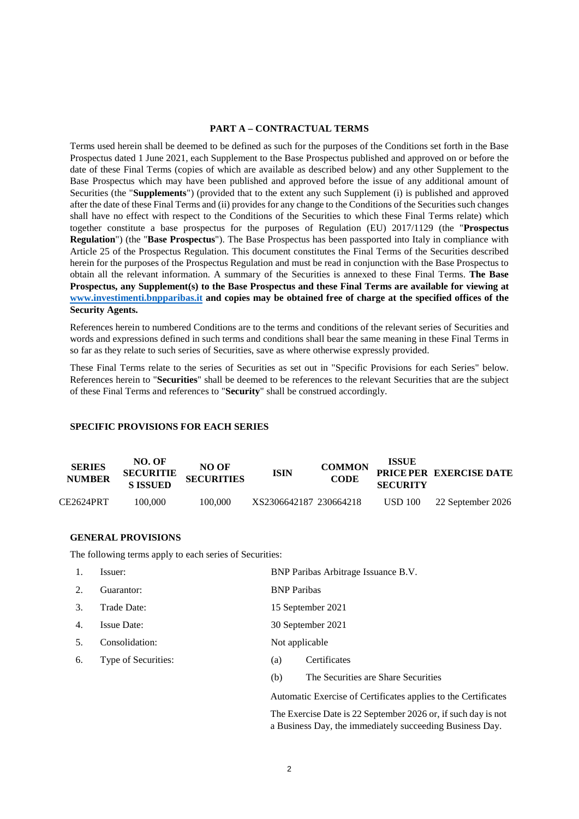# **PART A – CONTRACTUAL TERMS**

Terms used herein shall be deemed to be defined as such for the purposes of the Conditions set forth in the Base Prospectus dated 1 June 2021, each Supplement to the Base Prospectus published and approved on or before the date of these Final Terms (copies of which are available as described below) and any other Supplement to the Base Prospectus which may have been published and approved before the issue of any additional amount of Securities (the "**Supplements**") (provided that to the extent any such Supplement (i) is published and approved after the date of these Final Terms and (ii) provides for any change to the Conditions of the Securities such changes shall have no effect with respect to the Conditions of the Securities to which these Final Terms relate) which together constitute a base prospectus for the purposes of Regulation (EU) 2017/1129 (the "**Prospectus Regulation**") (the "**Base Prospectus**"). The Base Prospectus has been passported into Italy in compliance with Article 25 of the Prospectus Regulation. This document constitutes the Final Terms of the Securities described herein for the purposes of the Prospectus Regulation and must be read in conjunction with the Base Prospectus to obtain all the relevant information. A summary of the Securities is annexed to these Final Terms. **The Base Prospectus, any Supplement(s) to the Base Prospectus and these Final Terms are available for viewing at www.investimenti.bnpparibas.it and copies may be obtained free of charge at the specified offices of the Security Agents.**

References herein to numbered Conditions are to the terms and conditions of the relevant series of Securities and words and expressions defined in such terms and conditions shall bear the same meaning in these Final Terms in so far as they relate to such series of Securities, save as where otherwise expressly provided.

These Final Terms relate to the series of Securities as set out in "Specific Provisions for each Series" below. References herein to "**Securities**" shall be deemed to be references to the relevant Securities that are the subject of these Final Terms and references to "**Security**" shall be construed accordingly.

## **SPECIFIC PROVISIONS FOR EACH SERIES**

| <b>SERIES</b><br><b>NUMBER</b> | NO. OF<br><b>SECURITIE</b><br><b>S ISSUED</b> | NO OF<br><b>SECURITIES</b> | <b>ISIN</b>            | <b>COMMON</b><br><b>CODE</b> | <b>ISSUE</b><br><b>SECURITY</b> | PRICE PER EXERCISE DATE |
|--------------------------------|-----------------------------------------------|----------------------------|------------------------|------------------------------|---------------------------------|-------------------------|
| CE2624PRT                      | 100.000                                       | 100,000                    | XS2306642187 230664218 |                              | <b>USD 100</b>                  | 22 September 2026       |

## **GENERAL PROVISIONS**

The following terms apply to each series of Securities:

| 1.               | Issuer:             | BNP Paribas Arbitrage Issuance B.V. |                                     |  |
|------------------|---------------------|-------------------------------------|-------------------------------------|--|
| 2.               | Guarantor:          | <b>BNP</b> Paribas                  |                                     |  |
| 3.               | Trade Date:         | 15 September 2021                   |                                     |  |
| $\overline{4}$ . | <b>Issue Date:</b>  | 30 September 2021                   |                                     |  |
| .5.              | Consolidation:      | Not applicable                      |                                     |  |
| 6.               | Type of Securities: | (a)                                 | Certificates                        |  |
|                  |                     | (b)                                 | The Securities are Share Securities |  |
|                  |                     |                                     |                                     |  |

Automatic Exercise of Certificates applies to the Certificates

The Exercise Date is 22 September 2026 or, if such day is not a Business Day, the immediately succeeding Business Day.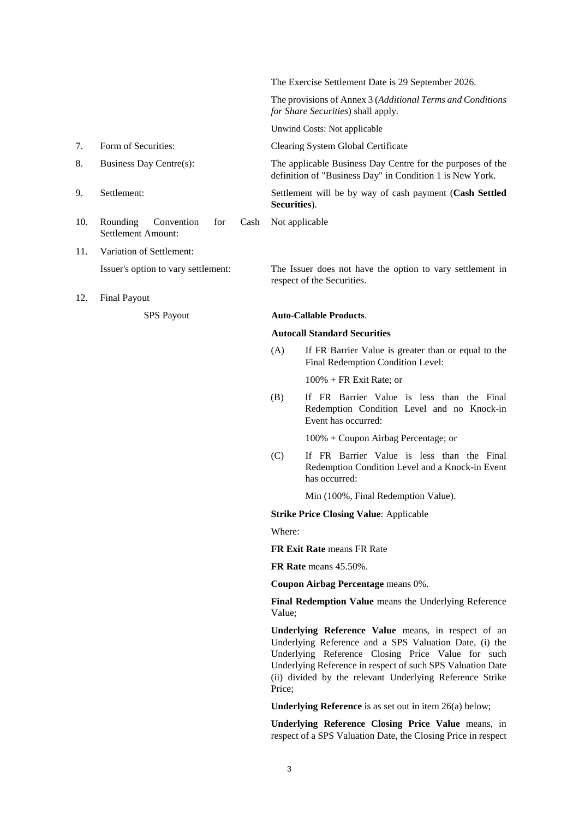The Exercise Settlement Date is 29 September 2026. The provisions of Annex 3 (*Additional Terms and Conditions for Share Securities*) shall apply. Unwind Costs: Not applicable 7. Form of Securities: Clearing System Global Certificate 8. Business Day Centre(s): The applicable Business Day Centre for the purposes of the definition of "Business Day" in Condition 1 is New York. 9. Settlement: Settlement will be by way of cash payment (**Cash Settled Securities**). 10. Rounding Convention for Cash Settlement Amount: Not applicable 11. Variation of Settlement:

- Issuer's option to vary settlement: The Issuer does not have the option to vary settlement in
- 12. Final Payout

respect of the Securities.

# SPS Payout **Auto-Callable Products**.

# **Autocall Standard Securities**

(A) If FR Barrier Value is greater than or equal to the Final Redemption Condition Level:

100% + FR Exit Rate; or

(B) If FR Barrier Value is less than the Final Redemption Condition Level and no Knock-in Event has occurred:

100% + Coupon Airbag Percentage; or

(C) If FR Barrier Value is less than the Final Redemption Condition Level and a Knock-in Event has occurred:

Min (100%, Final Redemption Value).

## **Strike Price Closing Value**: Applicable

Where:

**FR Exit Rate** means FR Rate

**FR Rate** means 45.50%.

**Coupon Airbag Percentage** means 0%.

**Final Redemption Value** means the Underlying Reference Value;

**Underlying Reference Value** means, in respect of an Underlying Reference and a SPS Valuation Date, (i) the Underlying Reference Closing Price Value for such Underlying Reference in respect of such SPS Valuation Date (ii) divided by the relevant Underlying Reference Strike Price;

**Underlying Reference** is as set out in item 26(a) below;

**Underlying Reference Closing Price Value** means, in respect of a SPS Valuation Date, the Closing Price in respect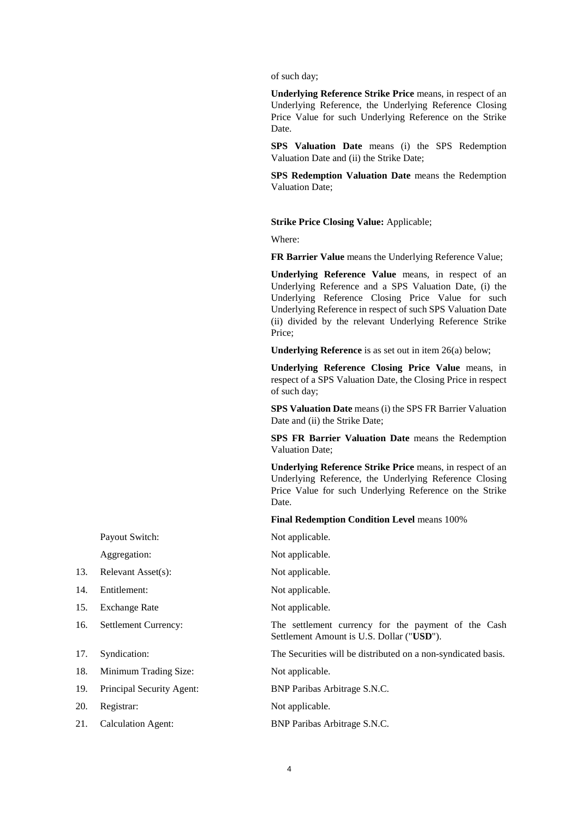of such day;

**Underlying Reference Strike Price** means, in respect of an Underlying Reference, the Underlying Reference Closing Price Value for such Underlying Reference on the Strike Date.

**SPS Valuation Date** means (i) the SPS Redemption Valuation Date and (ii) the Strike Date;

**SPS Redemption Valuation Date** means the Redemption Valuation Date;

**Strike Price Closing Value:** Applicable;

Where:

**FR Barrier Value** means the Underlying Reference Value;

**Underlying Reference Value** means, in respect of an Underlying Reference and a SPS Valuation Date, (i) the Underlying Reference Closing Price Value for such Underlying Reference in respect of such SPS Valuation Date (ii) divided by the relevant Underlying Reference Strike Price;

**Underlying Reference** is as set out in item 26(a) below;

**Underlying Reference Closing Price Value** means, in respect of a SPS Valuation Date, the Closing Price in respect of such day;

**SPS Valuation Date** means (i) the SPS FR Barrier Valuation Date and (ii) the Strike Date;

**SPS FR Barrier Valuation Date** means the Redemption Valuation Date;

**Underlying Reference Strike Price** means, in respect of an Underlying Reference, the Underlying Reference Closing Price Value for such Underlying Reference on the Strike Date.

**Final Redemption Condition Level** means 100%

Aggregation: Not applicable.

16. Settlement Currency: The settlement currency for the payment of the Cash Settlement Amount is U.S. Dollar ("**USD**").

17. Syndication: The Securities will be distributed on a non-syndicated basis.

20. Registrar: Not applicable.

21. Calculation Agent: BNP Paribas Arbitrage S.N.C.

Payout Switch: Not applicable.

- 13. Relevant Asset(s): Not applicable.
- 14. Entitlement: Not applicable.
- 15. Exchange Rate Not applicable.
- 
- 
- 18. Minimum Trading Size: Not applicable.

19. Principal Security Agent: BNP Paribas Arbitrage S.N.C.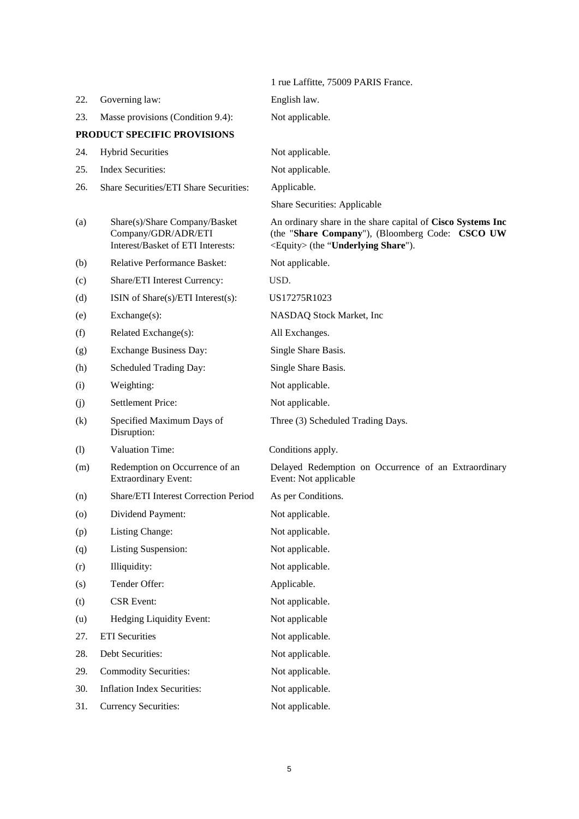|                   |                                                                                           | 1 rue Laffitte, 75009 PARIS France.                                                                                                                           |
|-------------------|-------------------------------------------------------------------------------------------|---------------------------------------------------------------------------------------------------------------------------------------------------------------|
| 22.               | Governing law:                                                                            | English law.                                                                                                                                                  |
| 23.               | Masse provisions (Condition 9.4):                                                         | Not applicable.                                                                                                                                               |
|                   | PRODUCT SPECIFIC PROVISIONS                                                               |                                                                                                                                                               |
| 24.               | <b>Hybrid Securities</b>                                                                  | Not applicable.                                                                                                                                               |
| 25.               | <b>Index Securities:</b>                                                                  | Not applicable.                                                                                                                                               |
| 26.               | Share Securities/ETI Share Securities:                                                    | Applicable.                                                                                                                                                   |
|                   |                                                                                           | Share Securities: Applicable                                                                                                                                  |
| (a)               | Share(s)/Share Company/Basket<br>Company/GDR/ADR/ETI<br>Interest/Basket of ETI Interests: | An ordinary share in the share capital of Cisco Systems Inc<br>(the "Share Company"), (Bloomberg Code: CSCO UW<br><equity> (the "Underlying Share").</equity> |
| (b)               | Relative Performance Basket:                                                              | Not applicable.                                                                                                                                               |
| (c)               | Share/ETI Interest Currency:                                                              | USD.                                                                                                                                                          |
| (d)               | ISIN of Share(s)/ETI Interest(s):                                                         | US17275R1023                                                                                                                                                  |
| (e)               | Exchange(s):                                                                              | NASDAQ Stock Market, Inc                                                                                                                                      |
| (f)               | Related Exchange(s):                                                                      | All Exchanges.                                                                                                                                                |
| (g)               | <b>Exchange Business Day:</b>                                                             | Single Share Basis.                                                                                                                                           |
| (h)               | Scheduled Trading Day:                                                                    | Single Share Basis.                                                                                                                                           |
| (i)               | Weighting:                                                                                | Not applicable.                                                                                                                                               |
| (j)               | <b>Settlement Price:</b>                                                                  | Not applicable.                                                                                                                                               |
| $\left( k\right)$ | Specified Maximum Days of<br>Disruption:                                                  | Three (3) Scheduled Trading Days.                                                                                                                             |
| (1)               | Valuation Time:                                                                           | Conditions apply.                                                                                                                                             |
| (m)               | Redemption on Occurrence of an<br><b>Extraordinary Event:</b>                             | Delayed Redemption on Occurrence of an Extraordinary<br>Event: Not applicable                                                                                 |
| (n)               | Share/ETI Interest Correction Period                                                      | As per Conditions.                                                                                                                                            |
| (0)               | Dividend Payment:                                                                         | Not applicable.                                                                                                                                               |
| (p)               | Listing Change:                                                                           | Not applicable.                                                                                                                                               |
| (q)               | Listing Suspension:                                                                       | Not applicable.                                                                                                                                               |
| (r)               | Illiquidity:                                                                              | Not applicable.                                                                                                                                               |
| (s)               | Tender Offer:                                                                             | Applicable.                                                                                                                                                   |
| (t)               | <b>CSR</b> Event:                                                                         | Not applicable.                                                                                                                                               |
| (u)               | Hedging Liquidity Event:                                                                  | Not applicable                                                                                                                                                |
| 27.               | <b>ETI</b> Securities                                                                     | Not applicable.                                                                                                                                               |
| 28.               | Debt Securities:                                                                          | Not applicable.                                                                                                                                               |
| 29.               | <b>Commodity Securities:</b>                                                              | Not applicable.                                                                                                                                               |
| 30.               | <b>Inflation Index Securities:</b>                                                        | Not applicable.                                                                                                                                               |
| 31.               | <b>Currency Securities:</b>                                                               | Not applicable.                                                                                                                                               |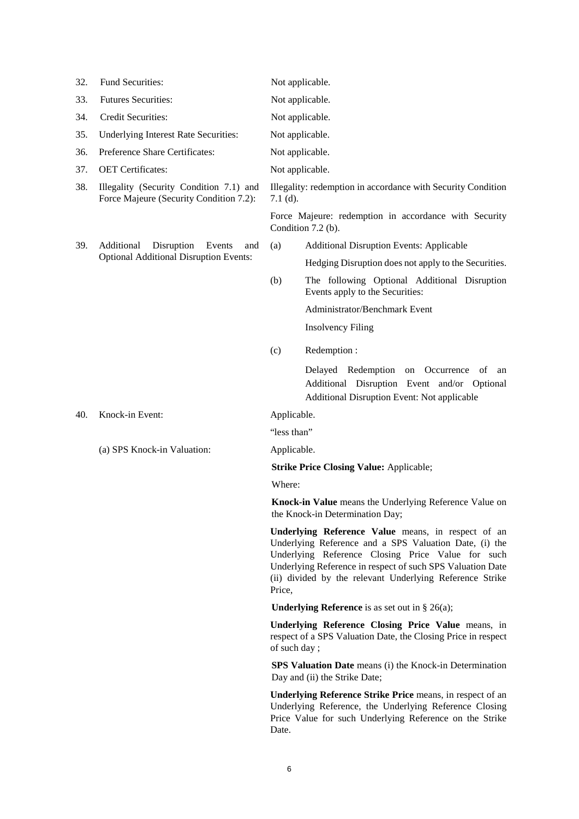| 32. | Fund Securities:                                                                   | Not applicable.                                                                                                                                                                                                                                                                                       |  |  |  |
|-----|------------------------------------------------------------------------------------|-------------------------------------------------------------------------------------------------------------------------------------------------------------------------------------------------------------------------------------------------------------------------------------------------------|--|--|--|
| 33. | <b>Futures Securities:</b>                                                         | Not applicable.                                                                                                                                                                                                                                                                                       |  |  |  |
| 34. | Credit Securities:                                                                 | Not applicable.                                                                                                                                                                                                                                                                                       |  |  |  |
| 35. | Underlying Interest Rate Securities:                                               | Not applicable.                                                                                                                                                                                                                                                                                       |  |  |  |
| 36. | Preference Share Certificates:                                                     | Not applicable.                                                                                                                                                                                                                                                                                       |  |  |  |
| 37. | <b>OET</b> Certificates:                                                           | Not applicable.                                                                                                                                                                                                                                                                                       |  |  |  |
| 38. | Illegality (Security Condition 7.1) and<br>Force Majeure (Security Condition 7.2): | Illegality: redemption in accordance with Security Condition<br>$7.1$ (d).                                                                                                                                                                                                                            |  |  |  |
|     |                                                                                    | Force Majeure: redemption in accordance with Security<br>Condition $7.2$ (b).                                                                                                                                                                                                                         |  |  |  |
| 39. | Additional<br>Disruption<br>Events<br>and                                          | (a)<br><b>Additional Disruption Events: Applicable</b>                                                                                                                                                                                                                                                |  |  |  |
|     | <b>Optional Additional Disruption Events:</b>                                      | Hedging Disruption does not apply to the Securities.                                                                                                                                                                                                                                                  |  |  |  |
|     |                                                                                    | (b)<br>The following Optional Additional Disruption<br>Events apply to the Securities:                                                                                                                                                                                                                |  |  |  |
|     |                                                                                    | Administrator/Benchmark Event                                                                                                                                                                                                                                                                         |  |  |  |
|     |                                                                                    | <b>Insolvency Filing</b>                                                                                                                                                                                                                                                                              |  |  |  |
|     |                                                                                    | (c)<br>Redemption:                                                                                                                                                                                                                                                                                    |  |  |  |
|     |                                                                                    | Delayed Redemption<br>on Occurrence of an<br>Additional Disruption Event and/or Optional<br>Additional Disruption Event: Not applicable                                                                                                                                                               |  |  |  |
| 40. | Knock-in Event:                                                                    | Applicable.                                                                                                                                                                                                                                                                                           |  |  |  |
|     |                                                                                    | "less than"<br>Applicable.                                                                                                                                                                                                                                                                            |  |  |  |
|     | (a) SPS Knock-in Valuation:                                                        |                                                                                                                                                                                                                                                                                                       |  |  |  |
|     |                                                                                    | <b>Strike Price Closing Value: Applicable;</b>                                                                                                                                                                                                                                                        |  |  |  |
|     |                                                                                    | Where:                                                                                                                                                                                                                                                                                                |  |  |  |
|     |                                                                                    | Knock-in Value means the Underlying Reference Value on<br>the Knock-in Determination Day;                                                                                                                                                                                                             |  |  |  |
|     |                                                                                    | Underlying Reference Value means, in respect of an<br>Underlying Reference and a SPS Valuation Date, (i) the<br>Underlying Reference Closing Price Value for such<br>Underlying Reference in respect of such SPS Valuation Date<br>(ii) divided by the relevant Underlying Reference Strike<br>Price, |  |  |  |
|     |                                                                                    | <b>Underlying Reference</b> is as set out in § 26(a);                                                                                                                                                                                                                                                 |  |  |  |
|     |                                                                                    | Underlying Reference Closing Price Value means, in<br>respect of a SPS Valuation Date, the Closing Price in respect<br>of such day;                                                                                                                                                                   |  |  |  |
|     |                                                                                    | SPS Valuation Date means (i) the Knock-in Determination<br>Day and (ii) the Strike Date;                                                                                                                                                                                                              |  |  |  |
|     |                                                                                    | <b>Underlying Reference Strike Price means, in respect of an</b><br>Underlying Reference, the Underlying Reference Closing                                                                                                                                                                            |  |  |  |

6

Date.

Price Value for such Underlying Reference on the Strike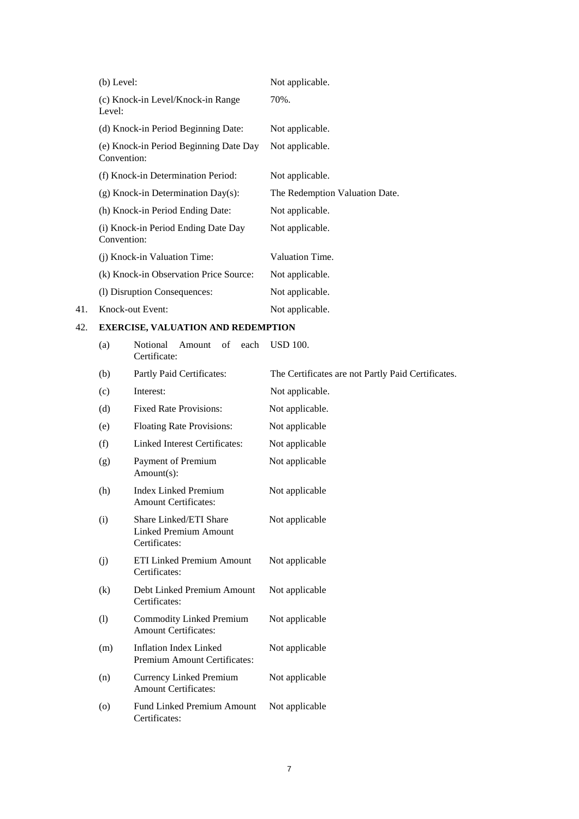|     | $(b)$ Level:                                          | Not applicable.                |
|-----|-------------------------------------------------------|--------------------------------|
|     | (c) Knock-in Level/Knock-in Range<br>Level:           | 70%.                           |
|     | (d) Knock-in Period Beginning Date:                   | Not applicable.                |
|     | (e) Knock-in Period Beginning Date Day<br>Convention: | Not applicable.                |
|     | (f) Knock-in Determination Period:                    | Not applicable.                |
|     | $(g)$ Knock-in Determination Day $(s)$ :              | The Redemption Valuation Date. |
|     | (h) Knock-in Period Ending Date:                      | Not applicable.                |
|     | (i) Knock-in Period Ending Date Day<br>Convention:    | Not applicable.                |
|     | (j) Knock-in Valuation Time:                          | Valuation Time.                |
|     | (k) Knock-in Observation Price Source:                | Not applicable.                |
|     | (1) Disruption Consequences:                          | Not applicable.                |
| 41. | Knock-out Event:                                      | Not applicable.                |

# 42. **EXERCISE, VALUATION AND REDEMPTION**

(a) Notional Amount of each USD 100.

|          | Certificate:                                                            |                                                    |
|----------|-------------------------------------------------------------------------|----------------------------------------------------|
| (b)      | Partly Paid Certificates:                                               | The Certificates are not Partly Paid Certificates. |
| (c)      | Interest:                                                               | Not applicable.                                    |
| (d)      | <b>Fixed Rate Provisions:</b>                                           | Not applicable.                                    |
| (e)      | <b>Floating Rate Provisions:</b>                                        | Not applicable                                     |
| (f)      | <b>Linked Interest Certificates:</b>                                    | Not applicable                                     |
| (g)      | Payment of Premium<br>Amount(s):                                        | Not applicable                                     |
| (h)      | <b>Index Linked Premium</b><br><b>Amount Certificates:</b>              | Not applicable                                     |
| (i)      | Share Linked/ETI Share<br><b>Linked Premium Amount</b><br>Certificates: | Not applicable                                     |
| (j)      | <b>ETI Linked Premium Amount</b><br>Certificates:                       | Not applicable                                     |
| $\rm(k)$ | Debt Linked Premium Amount<br>Certificates:                             | Not applicable                                     |
| (1)      | Commodity Linked Premium<br><b>Amount Certificates:</b>                 | Not applicable                                     |
| (m)      | <b>Inflation Index Linked</b><br>Premium Amount Certificates:           | Not applicable                                     |
| (n)      | <b>Currency Linked Premium</b><br><b>Amount Certificates:</b>           | Not applicable                                     |
| (0)      | <b>Fund Linked Premium Amount</b><br>Certificates:                      | Not applicable                                     |
|          |                                                                         |                                                    |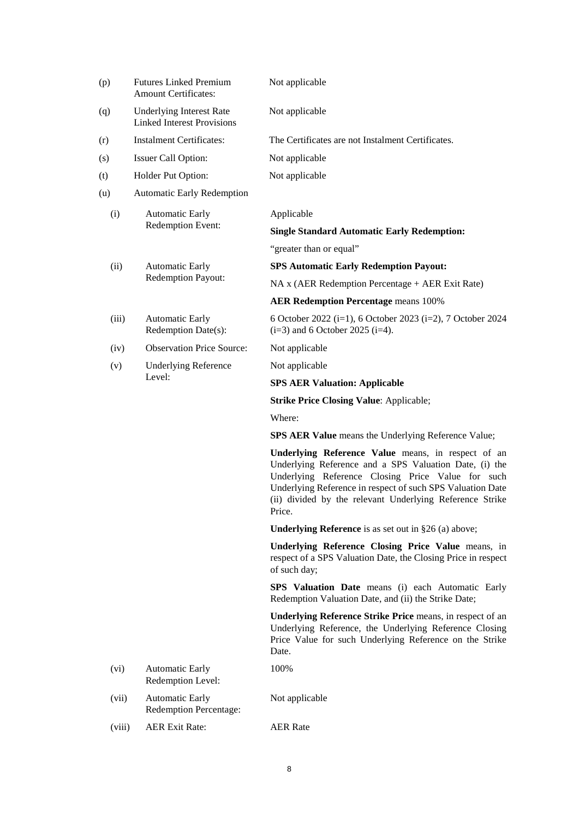| (p)    | <b>Futures Linked Premium</b><br><b>Amount Certificates:</b>         | Not applicable                                                                                                                                                                                                                                                                                        |  |  |
|--------|----------------------------------------------------------------------|-------------------------------------------------------------------------------------------------------------------------------------------------------------------------------------------------------------------------------------------------------------------------------------------------------|--|--|
| (q)    | <b>Underlying Interest Rate</b><br><b>Linked Interest Provisions</b> | Not applicable                                                                                                                                                                                                                                                                                        |  |  |
| (r)    | <b>Instalment Certificates:</b>                                      | The Certificates are not Instalment Certificates.                                                                                                                                                                                                                                                     |  |  |
| (s)    | Issuer Call Option:                                                  | Not applicable                                                                                                                                                                                                                                                                                        |  |  |
| (t)    | Holder Put Option:                                                   | Not applicable                                                                                                                                                                                                                                                                                        |  |  |
| (u)    | <b>Automatic Early Redemption</b>                                    |                                                                                                                                                                                                                                                                                                       |  |  |
| (i)    | <b>Automatic Early</b>                                               | Applicable                                                                                                                                                                                                                                                                                            |  |  |
|        | Redemption Event:                                                    | <b>Single Standard Automatic Early Redemption:</b>                                                                                                                                                                                                                                                    |  |  |
|        |                                                                      | "greater than or equal"                                                                                                                                                                                                                                                                               |  |  |
| (ii)   | <b>Automatic Early</b>                                               | <b>SPS Automatic Early Redemption Payout:</b>                                                                                                                                                                                                                                                         |  |  |
|        | Redemption Payout:                                                   | NA x (AER Redemption Percentage + AER Exit Rate)                                                                                                                                                                                                                                                      |  |  |
|        |                                                                      | <b>AER Redemption Percentage means 100%</b>                                                                                                                                                                                                                                                           |  |  |
| (iii)  | <b>Automatic Early</b><br>Redemption Date(s):                        | 6 October 2022 (i=1), 6 October 2023 (i=2), 7 October 2024<br>$(i=3)$ and 6 October 2025 $(i=4)$ .                                                                                                                                                                                                    |  |  |
| (iv)   | <b>Observation Price Source:</b>                                     | Not applicable                                                                                                                                                                                                                                                                                        |  |  |
| (v)    | <b>Underlying Reference</b>                                          | Not applicable                                                                                                                                                                                                                                                                                        |  |  |
|        | Level:                                                               | <b>SPS AER Valuation: Applicable</b>                                                                                                                                                                                                                                                                  |  |  |
|        |                                                                      | <b>Strike Price Closing Value: Applicable;</b>                                                                                                                                                                                                                                                        |  |  |
|        |                                                                      | Where:                                                                                                                                                                                                                                                                                                |  |  |
|        |                                                                      | <b>SPS AER Value</b> means the Underlying Reference Value;                                                                                                                                                                                                                                            |  |  |
|        |                                                                      | Underlying Reference Value means, in respect of an<br>Underlying Reference and a SPS Valuation Date, (i) the<br>Underlying Reference Closing Price Value for such<br>Underlying Reference in respect of such SPS Valuation Date<br>(ii) divided by the relevant Underlying Reference Strike<br>Price. |  |  |
|        |                                                                      | <b>Underlying Reference</b> is as set out in $§26$ (a) above;                                                                                                                                                                                                                                         |  |  |
|        |                                                                      | Underlying Reference Closing Price Value means, in<br>respect of a SPS Valuation Date, the Closing Price in respect<br>of such day;                                                                                                                                                                   |  |  |
|        |                                                                      | SPS Valuation Date means (i) each Automatic Early<br>Redemption Valuation Date, and (ii) the Strike Date;                                                                                                                                                                                             |  |  |
|        |                                                                      | Underlying Reference Strike Price means, in respect of an<br>Underlying Reference, the Underlying Reference Closing<br>Price Value for such Underlying Reference on the Strike<br>Date.                                                                                                               |  |  |
| (vi)   | <b>Automatic Early</b><br>Redemption Level:                          | 100%                                                                                                                                                                                                                                                                                                  |  |  |
| (vii)  | <b>Automatic Early</b><br><b>Redemption Percentage:</b>              | Not applicable                                                                                                                                                                                                                                                                                        |  |  |
| (viii) | <b>AER Exit Rate:</b>                                                | <b>AER Rate</b>                                                                                                                                                                                                                                                                                       |  |  |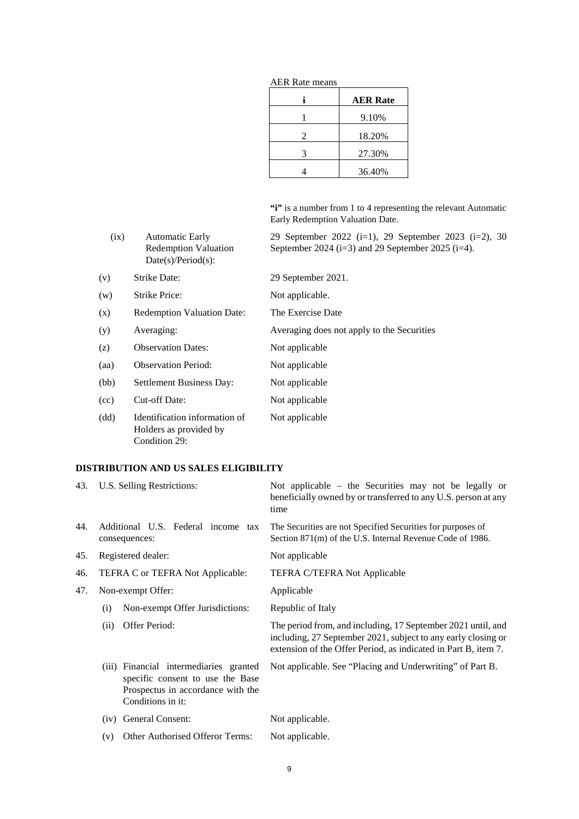|   | <b>AER Rate</b> |  |  |
|---|-----------------|--|--|
|   | 9.10%           |  |  |
| 2 | 18.20%          |  |  |
| 3 | 27.30%          |  |  |
|   | 36.40%          |  |  |

AER Rate means

**"i"** is a number from 1 to 4 representing the relevant Automatic Early Redemption Valuation Date.

| (ix) | <b>Automatic Early</b><br><b>Redemption Valuation</b><br>$Date(s)/Period(s)$ : | 29 September 2022 (i=1), 29 September 2023 (i=2), 30<br>September 2024 (i=3) and 29 September 2025 (i=4). |
|------|--------------------------------------------------------------------------------|-----------------------------------------------------------------------------------------------------------|
| (v)  | <b>Strike Date:</b>                                                            | 29 September 2021.                                                                                        |
| (w)  | <b>Strike Price:</b>                                                           | Not applicable.                                                                                           |
| (x)  | <b>Redemption Valuation Date:</b>                                              | The Exercise Date                                                                                         |
| (y)  | Averaging:                                                                     | Averaging does not apply to the Securities                                                                |
| (z)  | <b>Observation Dates:</b>                                                      | Not applicable                                                                                            |
| (aa) | <b>Observation Period:</b>                                                     | Not applicable                                                                                            |
| (bb) | Settlement Business Day:                                                       | Not applicable                                                                                            |
| (cc) | Cut-off Date:                                                                  | Not applicable                                                                                            |
| (dd) | Identification information of<br>Holders as provided by<br>Condition 29:       | Not applicable                                                                                            |

# **DISTRIBUTION AND US SALES ELIGIBILITY**

| 43. | U.S. Selling Restrictions:                                                                                                           | Not applicable – the Securities may not be legally or<br>beneficially owned by or transferred to any U.S. person at any<br>time                                                                 |
|-----|--------------------------------------------------------------------------------------------------------------------------------------|-------------------------------------------------------------------------------------------------------------------------------------------------------------------------------------------------|
| 44. | Additional U.S. Federal income tax<br>consequences:                                                                                  | The Securities are not Specified Securities for purposes of<br>Section 871(m) of the U.S. Internal Revenue Code of 1986.                                                                        |
| 45. | Registered dealer:                                                                                                                   | Not applicable                                                                                                                                                                                  |
| 46. | TEFRA C or TEFRA Not Applicable:                                                                                                     | TEFRA C/TEFRA Not Applicable                                                                                                                                                                    |
| 47. | Non-exempt Offer:                                                                                                                    | Applicable                                                                                                                                                                                      |
|     | Non-exempt Offer Jurisdictions:<br>(i)                                                                                               | Republic of Italy                                                                                                                                                                               |
|     | (ii)<br>Offer Period:                                                                                                                | The period from, and including, 17 September 2021 until, and<br>including, 27 September 2021, subject to any early closing or<br>extension of the Offer Period, as indicated in Part B, item 7. |
|     | (iii) Financial intermediaries granted<br>specific consent to use the Base<br>Prospectus in accordance with the<br>Conditions in it: | Not applicable. See "Placing and Underwriting" of Part B.                                                                                                                                       |
|     | General Consent:<br>(iv)                                                                                                             | Not applicable.                                                                                                                                                                                 |
|     | Other Authorised Offeror Terms:<br>(v)                                                                                               | Not applicable.                                                                                                                                                                                 |
|     |                                                                                                                                      |                                                                                                                                                                                                 |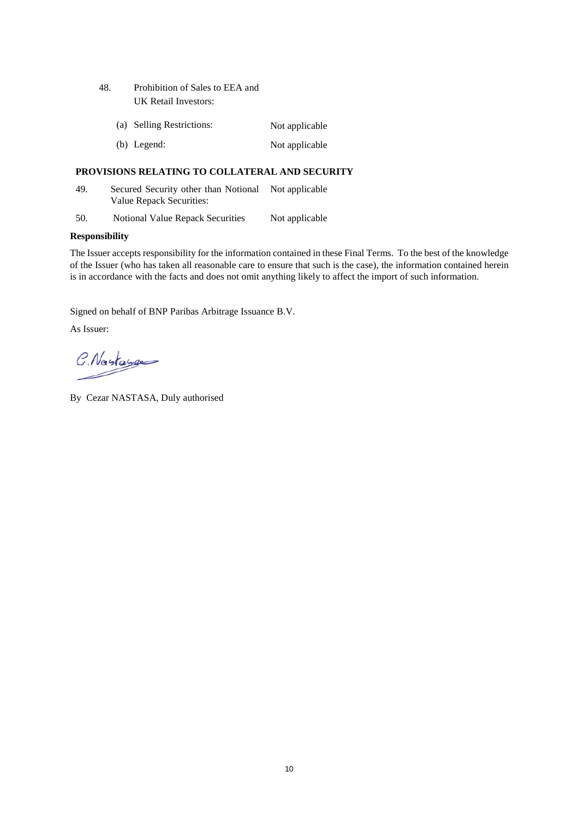- 48. Prohibition of Sales to EEA and UK Retail Investors:
	- (a) Selling Restrictions: Not applicable
	- (b) Legend: Not applicable

# **PROVISIONS RELATING TO COLLATERAL AND SECURITY**

- 49. Secured Security other than Notional Not applicable Value Repack Securities:
- 50. Notional Value Repack Securities Not applicable

# **Responsibility**

The Issuer accepts responsibility for the information contained in these Final Terms. To the best of the knowledge of the Issuer (who has taken all reasonable care to ensure that such is the case), the information contained herein is in accordance with the facts and does not omit anything likely to affect the import of such information.

Signed on behalf of BNP Paribas Arbitrage Issuance B.V.

As Issuer:

C. Nastage

By Cezar NASTASA, Duly authorised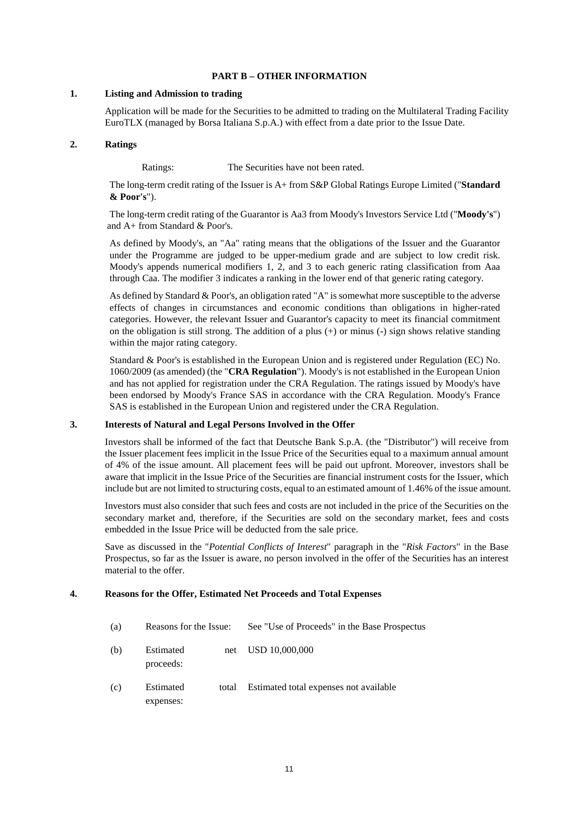# **PART B – OTHER INFORMATION**

## **1. Listing and Admission to trading**

Application will be made for the Securities to be admitted to trading on the Multilateral Trading Facility EuroTLX (managed by Borsa Italiana S.p.A.) with effect from a date prior to the Issue Date.

## **2. Ratings**

Ratings: The Securities have not been rated.

The long-term credit rating of the Issuer is A+ from S&P Global Ratings Europe Limited ("**Standard & Poor's**").

 The long-term credit rating of the Guarantor is Aa3 from Moody's Investors Service Ltd ("**Moody's**") and A+ from Standard & Poor's.

 As defined by Moody's, an "Aa" rating means that the obligations of the Issuer and the Guarantor under the Programme are judged to be upper-medium grade and are subject to low credit risk. Moody's appends numerical modifiers 1, 2, and 3 to each generic rating classification from Aaa through Caa. The modifier 3 indicates a ranking in the lower end of that generic rating category.

 As defined by Standard & Poor's, an obligation rated "A" is somewhat more susceptible to the adverse effects of changes in circumstances and economic conditions than obligations in higher-rated categories. However, the relevant Issuer and Guarantor's capacity to meet its financial commitment on the obligation is still strong. The addition of a plus  $(+)$  or minus  $(-)$  sign shows relative standing within the major rating category.

 Standard & Poor's is established in the European Union and is registered under Regulation (EC) No. 1060/2009 (as amended) (the "**CRA Regulation**"). Moody's is not established in the European Union and has not applied for registration under the CRA Regulation. The ratings issued by Moody's have been endorsed by Moody's France SAS in accordance with the CRA Regulation. Moody's France SAS is established in the European Union and registered under the CRA Regulation.

## **3. Interests of Natural and Legal Persons Involved in the Offer**

Investors shall be informed of the fact that Deutsche Bank S.p.A. (the "Distributor") will receive from the Issuer placement fees implicit in the Issue Price of the Securities equal to a maximum annual amount of 4% of the issue amount. All placement fees will be paid out upfront. Moreover, investors shall be aware that implicit in the Issue Price of the Securities are financial instrument costs for the Issuer, which include but are not limited to structuring costs, equal to an estimated amount of 1.46% of the issue amount.

Investors must also consider that such fees and costs are not included in the price of the Securities on the secondary market and, therefore, if the Securities are sold on the secondary market, fees and costs embedded in the Issue Price will be deducted from the sale price.

Save as discussed in the "*Potential Conflicts of Interest*" paragraph in the "*Risk Factors*" in the Base Prospectus, so far as the Issuer is aware, no person involved in the offer of the Securities has an interest material to the offer.

## **4. Reasons for the Offer, Estimated Net Proceeds and Total Expenses**

- (a) Reasons for the Issue: See "Use of Proceeds" in the Base Prospectus
- (b) Estimated net proceeds: USD 10,000,000
- (c) Estimated total expenses: Estimated total expenses not available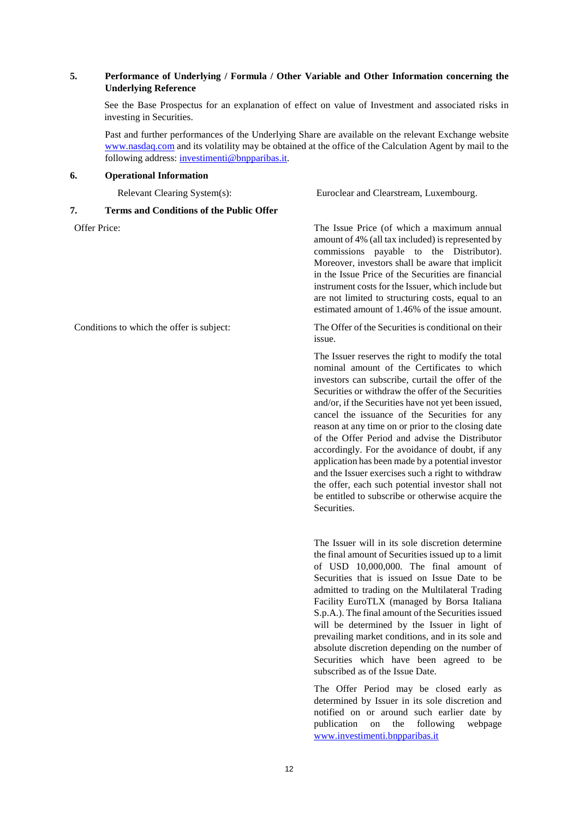# **5. Performance of Underlying / Formula / Other Variable and Other Information concerning the Underlying Reference**

See the Base Prospectus for an explanation of effect on value of Investment and associated risks in investing in Securities.

Past and further performances of the Underlying Share are available on the relevant Exchange website www.nasdaq.com and its volatility may be obtained at the office of the Calculation Agent by mail to the following address: investimenti@bnpparibas.it.

# **6. Operational Information**

Relevant Clearing System(s): Euroclear and Clearstream, Luxembourg.

# **7. Terms and Conditions of the Public Offer**

Offer Price: The Issue Price (of which a maximum annual amount of 4% (all tax included) is represented by commissions payable to the Distributor). Moreover, investors shall be aware that implicit in the Issue Price of the Securities are financial instrument costs for the Issuer, which include but are not limited to structuring costs, equal to an estimated amount of 1.46% of the issue amount.

Conditions to which the offer is subject: The Offer of the Securities is conditional on their issue.

> The Issuer reserves the right to modify the total nominal amount of the Certificates to which investors can subscribe, curtail the offer of the Securities or withdraw the offer of the Securities and/or, if the Securities have not yet been issued, cancel the issuance of the Securities for any reason at any time on or prior to the closing date of the Offer Period and advise the Distributor accordingly. For the avoidance of doubt, if any application has been made by a potential investor and the Issuer exercises such a right to withdraw the offer, each such potential investor shall not be entitled to subscribe or otherwise acquire the **Securities**

> The Issuer will in its sole discretion determine the final amount of Securities issued up to a limit of USD 10,000,000. The final amount of Securities that is issued on Issue Date to be admitted to trading on the Multilateral Trading Facility EuroTLX (managed by Borsa Italiana S.p.A.). The final amount of the Securities issued will be determined by the Issuer in light of prevailing market conditions, and in its sole and absolute discretion depending on the number of Securities which have been agreed to be subscribed as of the Issue Date.

> The Offer Period may be closed early as determined by Issuer in its sole discretion and notified on or around such earlier date by publication on the following webpage [www.investimenti.bnpparibas.it](http://www.investimenti.bnpparibas.it/)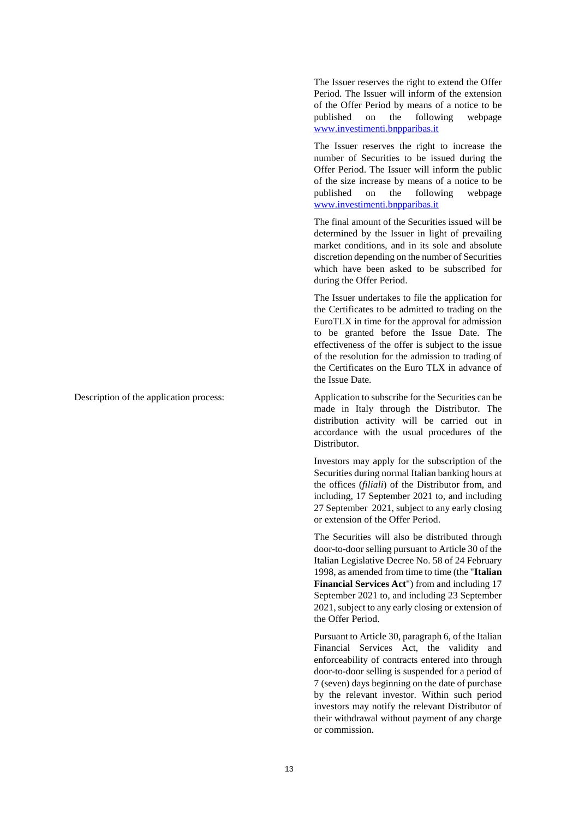The Issuer reserves the right to extend the Offer Period. The Issuer will inform of the extension of the Offer Period by means of a notice to be published on the following webpage [www.investimenti.bnpparibas.it](http://www.investimenti.bnpparibas.it/)

The Issuer reserves the right to increase the number of Securities to be issued during the Offer Period. The Issuer will inform the public of the size increase by means of a notice to be published on the following webpage [www.investimenti.bnpparibas.it](http://www.investimenti.bnpparibas.it/)

The final amount of the Securities issued will be determined by the Issuer in light of prevailing market conditions, and in its sole and absolute discretion depending on the number of Securities which have been asked to be subscribed for during the Offer Period.

The Issuer undertakes to file the application for the Certificates to be admitted to trading on the EuroTLX in time for the approval for admission to be granted before the Issue Date. The effectiveness of the offer is subject to the issue of the resolution for the admission to trading of the Certificates on the Euro TLX in advance of the Issue Date.

Description of the application process: Application to subscribe for the Securities can be made in Italy through the Distributor. The distribution activity will be carried out in accordance with the usual procedures of the **Distributor** 

> Investors may apply for the subscription of the Securities during normal Italian banking hours at the offices (*filiali*) of the Distributor from, and including, 17 September 2021 to, and including 27 September 2021, subject to any early closing or extension of the Offer Period.

> The Securities will also be distributed through door-to-door selling pursuant to Article 30 of the Italian Legislative Decree No. 58 of 24 February 1998, as amended from time to time (the "**Italian Financial Services Act**") from and including 17 September 2021 to, and including 23 September 2021, subject to any early closing or extension of the Offer Period.

> Pursuant to Article 30, paragraph 6, of the Italian Financial Services Act, the validity and enforceability of contracts entered into through door-to-door selling is suspended for a period of 7 (seven) days beginning on the date of purchase by the relevant investor. Within such period investors may notify the relevant Distributor of their withdrawal without payment of any charge or commission.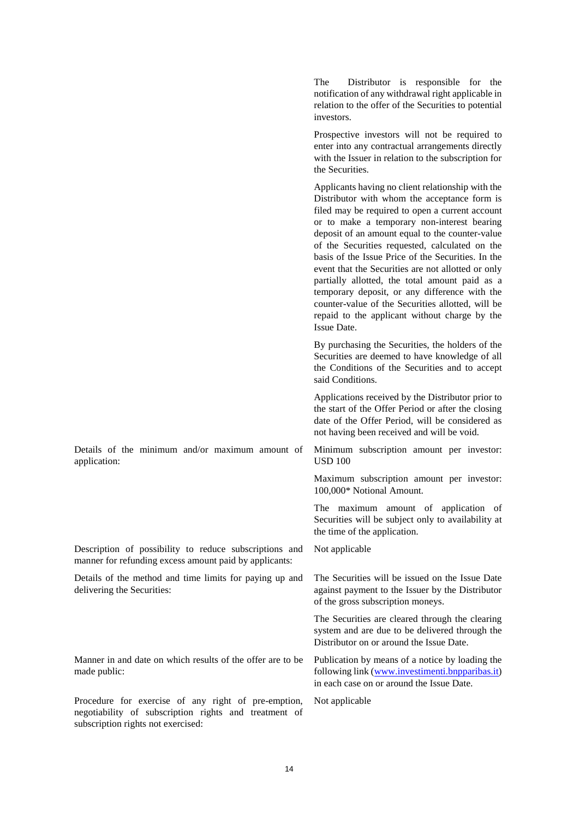The Distributor is responsible for the notification of any withdrawal right applicable in relation to the offer of the Securities to potential investors. Prospective investors will not be required to enter into any contractual arrangements directly with the Issuer in relation to the subscription for the Securities. Applicants having no client relationship with the Distributor with whom the acceptance form is filed may be required to open a current account or to make a temporary non-interest bearing deposit of an amount equal to the counter-value of the Securities requested, calculated on the basis of the Issue Price of the Securities. In the event that the Securities are not allotted or only partially allotted, the total amount paid as a temporary deposit, or any difference with the counter-value of the Securities allotted, will be repaid to the applicant without charge by the Issue Date. By purchasing the Securities, the holders of the Securities are deemed to have knowledge of all the Conditions of the Securities and to accept said Conditions. Applications received by the Distributor prior to the start of the Offer Period or after the closing date of the Offer Period, will be considered as not having been received and will be void. Details of the minimum and/or maximum amount of application: Minimum subscription amount per investor: USD 100 Maximum subscription amount per investor: 100,000\* Notional Amount. The maximum amount of application of Securities will be subject only to availability at the time of the application. Description of possibility to reduce subscriptions and manner for refunding excess amount paid by applicants: Not applicable Details of the method and time limits for paying up and delivering the Securities: The Securities will be issued on the Issue Date against payment to the Issuer by the Distributor of the gross subscription moneys. The Securities are cleared through the clearing system and are due to be delivered through the Distributor on or around the Issue Date. Manner in and date on which results of the offer are to be made public: Publication by means of a notice by loading the following link ([www.investimenti.bnpparibas.it\)](http://www.investimenti.bnpparibas.it/) in each case on or around the Issue Date. Procedure for exercise of any right of pre-emption, negotiability of subscription rights and treatment of Not applicable

subscription rights not exercised: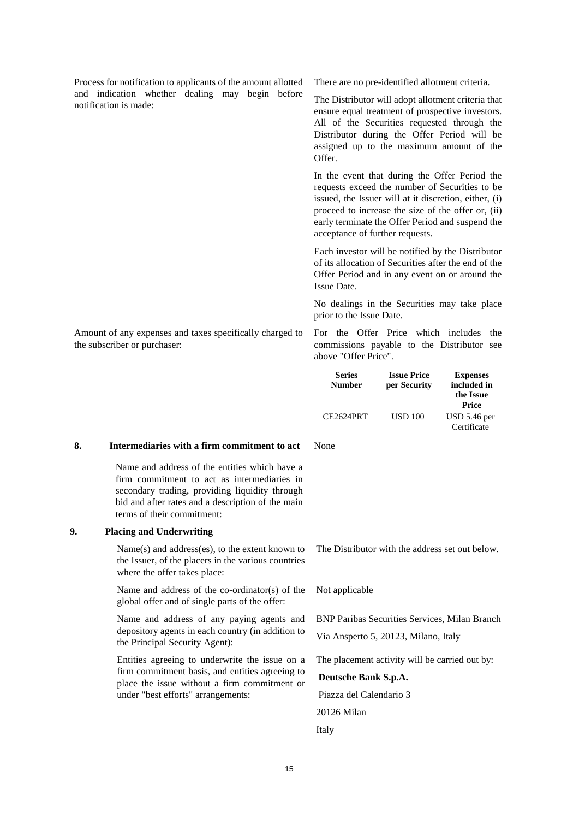Process for notification to applicants of the amount allotted and indication whether dealing may begin before notification is made:

There are no pre-identified allotment criteria.

The Distributor will adopt allotment criteria that ensure equal treatment of prospective investors. All of the Securities requested through the Distributor during the Offer Period will be assigned up to the maximum amount of the Offer.

In the event that during the Offer Period the requests exceed the number of Securities to be issued, the Issuer will at it discretion, either, (i) proceed to increase the size of the offer or, (ii) early terminate the Offer Period and suspend the acceptance of further requests.

Each investor will be notified by the Distributor of its allocation of Securities after the end of the Offer Period and in any event on or around the Issue Date.

No dealings in the Securities may take place prior to the Issue Date.

Amount of any expenses and taxes specifically charged to the subscriber or purchaser:

For the Offer Price which includes the commissions payable to the Distributor see above "Offer Price".

| <b>Series</b><br><b>Number</b> | <b>Issue Price</b><br>per Security | <b>Expenses</b><br>included in<br>the Issue |
|--------------------------------|------------------------------------|---------------------------------------------|
| CE2624PRT                      | <b>USD 100</b>                     | Price<br>$USD 5.46$ per<br>Certificate      |

## **8. Intermediaries with a firm commitment to act**

Name and address of the entities which have a firm commitment to act as intermediaries in secondary trading, providing liquidity through bid and after rates and a description of the main terms of their commitment:

## **9. Placing and Underwriting**

Name(s) and address(es), to the extent known to the Issuer, of the placers in the various countries where the offer takes place:

Name and address of the co-ordinator(s) of the global offer and of single parts of the offer:

Name and address of any paying agents and depository agents in each country (in addition to the Principal Security Agent):

Entities agreeing to underwrite the issue on a firm commitment basis, and entities agreeing to place the issue without a firm commitment or under "best efforts" arrangements:

None

The Distributor with the address set out below.

Not applicable

BNP Paribas Securities Services, Milan Branch Via Ansperto 5, 20123, Milano, Italy

The placement activity will be carried out by:

**Deutsche Bank S.p.A.**  Piazza del Calendario 3 20126 Milan Italy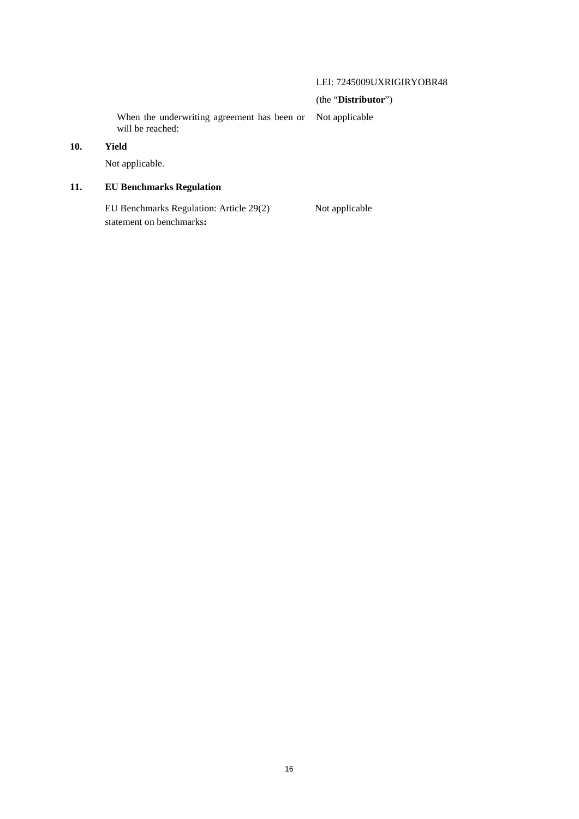# LEI: 7245009UXRIGIRYOBR48

# (the "**Distributor**")

When the underwriting agreement has been or will be reached: Not applicable

# **10. Yield**

Not applicable.

# **11. EU Benchmarks Regulation**

EU Benchmarks Regulation: Article 29(2) Not applicable statement on benchmarks**:**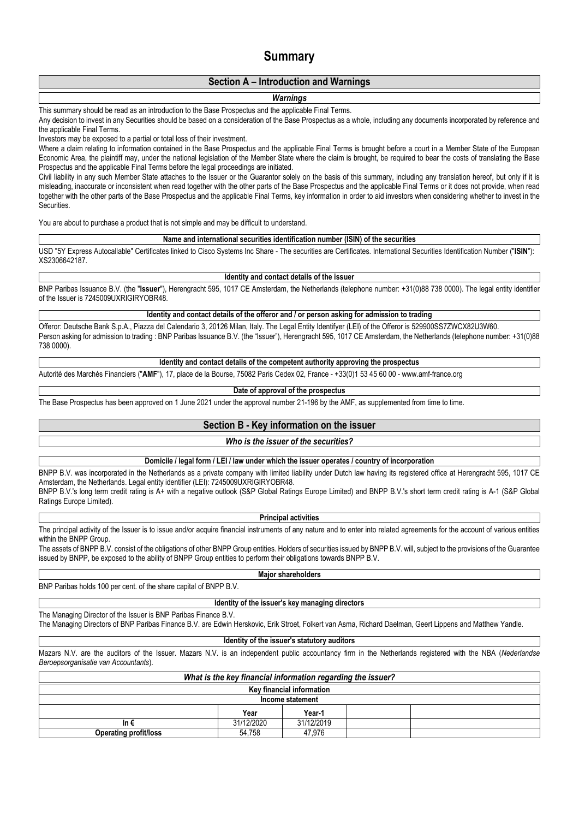# **Summary**

# **Section A – Introduction and Warnings**

## *Warnings*

This summary should be read as an introduction to the Base Prospectus and the applicable Final Terms.

Any decision to invest in any Securities should be based on a consideration of the Base Prospectus as a whole, including any documents incorporated by reference and the applicable Final Terms.

Investors may be exposed to a partial or total loss of their investment.

Where a claim relating to information contained in the Base Prospectus and the applicable Final Terms is brought before a court in a Member State of the European Economic Area, the plaintiff may, under the national legislation of the Member State where the claim is brought, be required to bear the costs of translating the Base Prospectus and the applicable Final Terms before the legal proceedings are initiated.

Civil liability in any such Member State attaches to the Issuer or the Guarantor solely on the basis of this summary, including any translation hereof, but only if it is misleading, inaccurate or inconsistent when read together with the other parts of the Base Prospectus and the applicable Final Terms or it does not provide, when read together with the other parts of the Base Prospectus and the applicable Final Terms, key information in order to aid investors when considering whether to invest in the Securities.

You are about to purchase a product that is not simple and may be difficult to understand.

**Name and international securities identification number (ISIN) of the securities**

USD "5Y Express Autocallable" Certificates linked to Cisco Systems Inc Share - The securities are Certificates. International Securities Identification Number ("**ISIN**"): XS2306642187.

#### **Identity and contact details of the issuer**

BNP Paribas Issuance B.V. (the "**Issuer**"), Herengracht 595, 1017 CE Amsterdam, the Netherlands (telephone number: +31(0)88 738 0000). The legal entity identifier of the Issuer is 7245009UXRIGIRYOBR48.

**Identity and contact details of the offeror and / or person asking for admission to trading**

Offeror: Deutsche Bank S.p.A., Piazza del Calendario 3, 20126 Milan, Italy. The Legal Entity Identifyer (LEI) of the Offeror is 529900SS7ZWCX82U3W60. Person asking for admission to trading : BNP Paribas Issuance B.V. (the "Issuer"), Herengracht 595, 1017 CE Amsterdam, the Netherlands (telephone number: +31(0)88 738 0000).

#### **Identity and contact details of the competent authority approving the prospectus**

Autorité des Marchés Financiers ("**AMF**"), 17, place de la Bourse, 75082 Paris Cedex 02, France - +33(0)1 53 45 60 00 - www.amf-france.org

#### **Date of approval of the prospectus**

The Base Prospectus has been approved on 1 June 2021 under the approval number 21-196 by the AMF, as supplemented from time to time.

## **Section B - Key information on the issuer**

#### *Who is the issuer of the securities?*

**Domicile / legal form / LEI / law under which the issuer operates / country of incorporation**

BNPP B.V. was incorporated in the Netherlands as a private company with limited liability under Dutch law having its registered office at Herengracht 595, 1017 CE Amsterdam, the Netherlands. Legal entity identifier (LEI): 7245009UXRIGIRYOBR48.

BNPP B.V.'s long term credit rating is A+ with a negative outlook (S&P Global Ratings Europe Limited) and BNPP B.V.'s short term credit rating is A-1 (S&P Global Ratings Europe Limited).

#### **Principal activities**

The principal activity of the Issuer is to issue and/or acquire financial instruments of any nature and to enter into related agreements for the account of various entities within the BNPP Group.

The assets of BNPP B.V. consist of the obligations of other BNPP Group entities. Holders of securities issued by BNPP B.V. will, subject to the provisions of the Guarantee issued by BNPP, be exposed to the ability of BNPP Group entities to perform their obligations towards BNPP B.V.

**Major shareholders**

BNP Paribas holds 100 per cent. of the share capital of BNPP B.V.

## **Identity of the issuer's key managing directors**

The Managing Director of the Issuer is BNP Paribas Finance B.V.

The Managing Directors of BNP Paribas Finance B.V. are Edwin Herskovic, Erik Stroet, Folkert van Asma, Richard Daelman, Geert Lippens and Matthew Yandle.

### **Identity of the issuer's statutory auditors**

Mazars N.V. are the auditors of the Issuer. Mazars N.V. is an independent public accountancy firm in the Netherlands registered with the NBA (*Nederlandse Beroepsorganisatie van Accountants*).

| What is the key financial information regarding the issuer? |            |            |  |  |  |
|-------------------------------------------------------------|------------|------------|--|--|--|
| Kev financial information                                   |            |            |  |  |  |
| Income statement                                            |            |            |  |  |  |
| Year<br>Year-1                                              |            |            |  |  |  |
| In €                                                        | 31/12/2020 | 31/12/2019 |  |  |  |
| 47.976<br>54.758<br><b>Operating profit/loss</b>            |            |            |  |  |  |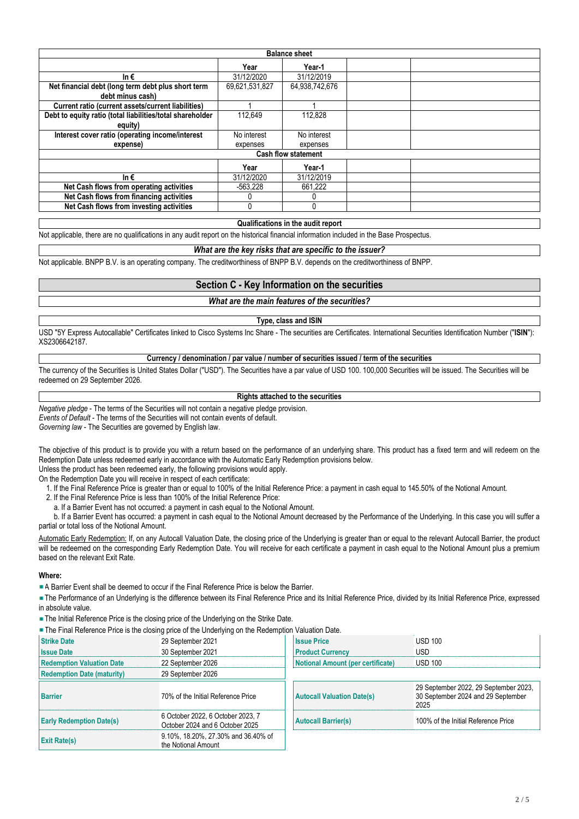| <b>Balance sheet</b>                                      |                |                |  |  |  |  |
|-----------------------------------------------------------|----------------|----------------|--|--|--|--|
|                                                           | Year           | Year-1         |  |  |  |  |
| In $\epsilon$                                             | 31/12/2020     | 31/12/2019     |  |  |  |  |
| Net financial debt (long term debt plus short term        | 69,621,531,827 | 64,938,742,676 |  |  |  |  |
| debt minus cash)                                          |                |                |  |  |  |  |
| Current ratio (current assets/current liabilities)        |                |                |  |  |  |  |
| Debt to equity ratio (total liabilities/total shareholder | 112.649        | 112.828        |  |  |  |  |
| equity)                                                   |                |                |  |  |  |  |
| Interest cover ratio (operating income/interest           | No interest    | No interest    |  |  |  |  |
| expense)                                                  | expenses       | expenses       |  |  |  |  |
| <b>Cash flow statement</b>                                |                |                |  |  |  |  |
|                                                           | Year           | Year-1         |  |  |  |  |
| In $\epsilon$                                             | 31/12/2020     | 31/12/2019     |  |  |  |  |
| Net Cash flows from operating activities                  | -563.228       | 661.222        |  |  |  |  |
| Net Cash flows from financing activities                  |                |                |  |  |  |  |
| Net Cash flows from investing activities                  |                |                |  |  |  |  |

#### **Qualifications in the audit report**

Not applicable, there are no qualifications in any audit report on the historical financial information included in the Base Prospectus.

## *What are the key risks that are specific to the issuer?*

Not applicable. BNPP B.V. is an operating company. The creditworthiness of BNPP B.V. depends on the creditworthiness of BNPP.

## **Section C - Key Information on the securities**

## *What are the main features of the securities?*

# **Type, class and ISIN**

USD "5Y Express Autocallable" Certificates linked to Cisco Systems Inc Share - The securities are Certificates. International Securities Identification Number ("**ISIN**"): XS2306642187.

**Currency / denomination / par value / number of securities issued / term of the securities**

The currency of the Securities is United States Dollar ("USD"). The Securities have a par value of USD 100. 100,000 Securities will be issued. The Securities will be redeemed on 29 September 2026.

#### **Rights attached to the securities**

*Negative pledge* - The terms of the Securities will not contain a negative pledge provision.

*Events of Default* - The terms of the Securities will not contain events of default.

*Governing law* - The Securities are governed by English law.

The objective of this product is to provide you with a return based on the performance of an underlying share. This product has a fixed term and will redeem on the Redemption Date unless redeemed early in accordance with the Automatic Early Redemption provisions below. Unless the product has been redeemed early, the following provisions would apply.

On the Redemption Date you will receive in respect of each certificate:

1. If the Final Reference Price is greater than or equal to 100% of the Initial Reference Price: a payment in cash equal to 145.50% of the Notional Amount.

2. If the Final Reference Price is less than 100% of the Initial Reference Price:

a. If a Barrier Event has not occurred: a payment in cash equal to the Notional Amount.

 b. If a Barrier Event has occurred: a payment in cash equal to the Notional Amount decreased by the Performance of the Underlying. In this case you will suffer a partial or total loss of the Notional Amount.

Automatic Early Redemption: If, on any Autocall Valuation Date, the closing price of the Underlying is greater than or equal to the relevant Autocall Barrier, the product will be redeemed on the corresponding Early Redemption Date. You will receive for each certificate a payment in cash equal to the Notional Amount plus a premium based on the relevant Exit Rate.

#### **Where:**

A Barrier Event shall be deemed to occur if the Final Reference Price is below the Barrier.

The Performance of an Underlying is the difference between its Final Reference Price and its Initial Reference Price, divided by its Initial Reference Price, expressed in absolute value.

The Initial Reference Price is the closing price of the Underlying on the Strike Date.

The Final Reference Price is the closing price of the Underlying on the Redemption Valuation Date.

| <b>Strike Date</b>                | 29 September 2021                                                    | <b>Issue Price</b>                       | USD 100                                                                             |
|-----------------------------------|----------------------------------------------------------------------|------------------------------------------|-------------------------------------------------------------------------------------|
| <b>Issue Date</b>                 | 30 September 2021                                                    | <b>Product Currency</b>                  | <b>USD</b>                                                                          |
| <b>Redemption Valuation Date</b>  | 22 September 2026                                                    | <b>Notional Amount (per certificate)</b> | <b>USD 100</b>                                                                      |
| <b>Redemption Date (maturity)</b> | 29 September 2026                                                    |                                          |                                                                                     |
| <b>Barrier</b>                    | 70% of the Initial Reference Price                                   | <b>Autocall Valuation Date(s)</b>        | 29 September 2022, 29 September 2023,<br>30 September 2024 and 29 September<br>2025 |
| <b>Early Redemption Date(s)</b>   | 6 October 2022, 6 October 2023, 7<br>October 2024 and 6 October 2025 | <b>Autocall Barrier(s)</b>               | 100% of the Initial Reference Price                                                 |
| <b>Exit Rate(s)</b>               | 9.10%, 18.20%, 27.30% and 36.40% of<br>the Notional Amount           |                                          |                                                                                     |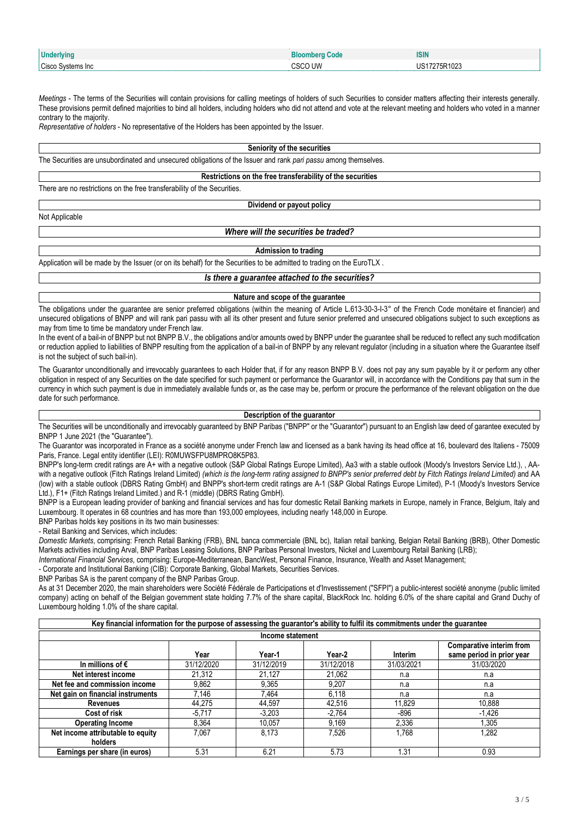| Underlying             | Code    | <b>ISIN</b>                 |
|------------------------|---------|-----------------------------|
| Cisco S<br>Svstems Inc | `SCO UW | <sup>-</sup> 275R1023<br>◡◡ |

*Meetings* - The terms of the Securities will contain provisions for calling meetings of holders of such Securities to consider matters affecting their interests generally. These provisions permit defined majorities to bind all holders, including holders who did not attend and vote at the relevant meeting and holders who voted in a manner contrary to the majority.

*Representative of holders* - No representative of the Holders has been appointed by the Issuer.

#### **Seniority of the securities**

The Securities are unsubordinated and unsecured obligations of the Issuer and rank *pari passu* among themselves.

#### **Restrictions on the free transferability of the securities**

There are no restrictions on the free transferability of the Securities.

## **Dividend or payout policy**

Not Applicable

## *Where will the securities be traded?*

**Admission to trading**

Application will be made by the Issuer (or on its behalf) for the Securities to be admitted to trading on the EuroTLX .

# *Is there a guarantee attached to the securities?*

#### **Nature and scope of the guarantee**

The obligations under the quarantee are senior preferred obligations (within the meaning of Article L.613-30-3-I-3° of the French Code monétaire et financier) and unsecured obligations of BNPP and will rank pari passu with all its other present and future senior preferred and unsecured obligations subject to such exceptions as may from time to time be mandatory under French law.

In the event of a bail-in of BNPP but not BNPP B.V., the obligations and/or amounts owed by BNPP under the quarantee shall be reduced to reflect any such modification or reduction applied to liabilities of BNPP resulting from the application of a bail-in of BNPP by any relevant regulator (including in a situation where the Guarantee itself is not the subject of such bail-in).

The Guarantor unconditionally and irrevocably guarantees to each Holder that, if for any reason BNPP B.V. does not pay any sum payable by it or perform any other obligation in respect of any Securities on the date specified for such payment or performance the Guarantor will, in accordance with the Conditions pay that sum in the currency in which such payment is due in immediately available funds or, as the case may be, perform or procure the performance of the relevant obligation on the due date for such performance.

### **Description of the guarantor**

The Securities will be unconditionally and irrevocably guaranteed by BNP Paribas ("BNPP" or the "Guarantor") pursuant to an English law deed of garantee executed by BNPP 1 June 2021 (the "Guarantee").

The Guarantor was incorporated in France as a société anonyme under French law and licensed as a bank having its head office at 16, boulevard des Italiens - 75009 Paris, France. Legal entity identifier (LEI): R0MUWSFPU8MPRO8K5P83.

BNPP's long-term credit ratings are A+ with a negative outlook (S&P Global Ratings Europe Limited), Aa3 with a stable outlook (Moody's Investors Service Ltd.), , AAwith a negative outlook (Fitch Ratings Ireland Limited) *(which is the long-term rating assigned to BNPP's senior preferred debt by Fitch Ratings Ireland Limited)* and AA (low) with a stable outlook (DBRS Rating GmbH) and BNPP's short-term credit ratings are A-1 (S&P Global Ratings Europe Limited), P-1 (Moody's Investors Service Ltd.), F1+ (Fitch Ratings Ireland Limited.) and R-1 (middle) (DBRS Rating GmbH).

BNPP is a European leading provider of banking and financial services and has four domestic Retail Banking markets in Europe, namely in France, Belgium, Italy and Luxembourg. It operates in 68 countries and has more than 193,000 employees, including nearly 148,000 in Europe.

BNP Paribas holds key positions in its two main businesses:

- Retail Banking and Services, which includes:

*Domestic Markets*, comprising: French Retail Banking (FRB), BNL banca commerciale (BNL bc), Italian retail banking, Belgian Retail Banking (BRB), Other Domestic Markets activities including Arval, BNP Paribas Leasing Solutions, BNP Paribas Personal Investors, Nickel and Luxembourg Retail Banking (LRB);

*International Financial Services*, comprising: Europe-Mediterranean, BancWest, Personal Finance, Insurance, Wealth and Asset Management;

- Corporate and Institutional Banking (CIB): Corporate Banking, Global Markets, Securities Services.

BNP Paribas SA is the parent company of the BNP Paribas Group.

As at 31 December 2020, the main shareholders were Société Fédérale de Participations et d'Investissement ("SFPI") a public-interest société anonyme (public limited company) acting on behalf of the Belgian government state holding 7.7% of the share capital, BlackRock Inc. holding 6.0% of the share capital and Grand Duchy of Luxembourg holding 1.0% of the share capital.

| Key financial information for the purpose of assessing the guarantor's ability to fulfil its commitments under the guarantee |            |                  |            |            |                                                       |
|------------------------------------------------------------------------------------------------------------------------------|------------|------------------|------------|------------|-------------------------------------------------------|
|                                                                                                                              |            | Income statement |            |            |                                                       |
|                                                                                                                              | Year       | Year-1           | Year-2     | Interim    | Comparative interim from<br>same period in prior year |
| In millions of $\epsilon$                                                                                                    | 31/12/2020 | 31/12/2019       | 31/12/2018 | 31/03/2021 | 31/03/2020                                            |
| Net interest income                                                                                                          | 21.312     | 21.127           | 21.062     | n.a        | n.a                                                   |
| Net fee and commission income                                                                                                | 9,862      | 9.365            | 9.207      | n.a        | n.a                                                   |
| Net gain on financial instruments                                                                                            | 7.146      | 7.464            | 6.118      | n.a        | n.a                                                   |
| <b>Revenues</b>                                                                                                              | 44.275     | 44.597           | 42.516     | 11.829     | 10,888                                                |
| Cost of risk                                                                                                                 | $-5.717$   | $-3.203$         | $-2.764$   | -896       | $-1,426$                                              |
| <b>Operating Income</b>                                                                                                      | 8.364      | 10.057           | 9.169      | 2,336      | 1,305                                                 |
| Net income attributable to equity                                                                                            | 7.067      | 8.173            | 7.526      | 1.768      | 1,282                                                 |
| holders                                                                                                                      |            |                  |            |            |                                                       |
| Earnings per share (in euros)                                                                                                | 5.31       | 6.21             | 5.73       | .31        | 0.93                                                  |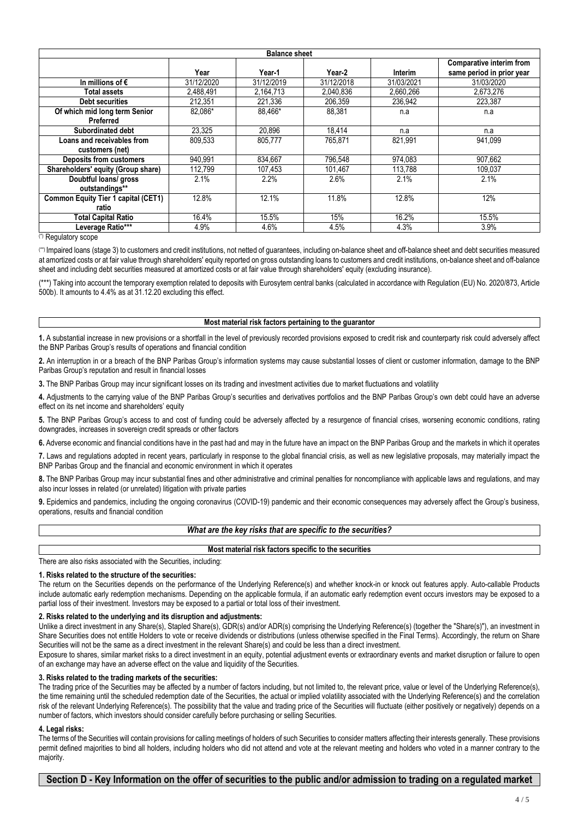| <b>Balance sheet</b>                       |            |            |            |            |                                 |
|--------------------------------------------|------------|------------|------------|------------|---------------------------------|
|                                            |            |            |            |            | <b>Comparative interim from</b> |
|                                            | Year       | Year-1     | Year-2     | Interim    | same period in prior year       |
| In millions of $\epsilon$                  | 31/12/2020 | 31/12/2019 | 31/12/2018 | 31/03/2021 | 31/03/2020                      |
| Total assets                               | 2,488,491  | 2,164,713  | 2,040,836  | 2,660,266  | 2,673,276                       |
| <b>Debt securities</b>                     | 212,351    | 221,336    | 206,359    | 236,942    | 223,387                         |
| Of which mid long term Senior              | 82.086*    | 88.466*    | 88.381     | n.a        | n.a                             |
| Preferred                                  |            |            |            |            |                                 |
| Subordinated debt                          | 23.325     | 20.896     | 18,414     | n.a        | n.a                             |
| Loans and receivables from                 | 809,533    | 805,777    | 765,871    | 821,991    | 941.099                         |
| customers (net)                            |            |            |            |            |                                 |
| <b>Deposits from customers</b>             | 940.991    | 834,667    | 796.548    | 974.083    | 907.662                         |
| Shareholders' equity (Group share)         | 112.799    | 107.453    | 101.467    | 113.788    | 109.037                         |
| Doubtful loans/ gross                      | 2.1%       | 2.2%       | 2.6%       | 2.1%       | 2.1%                            |
| outstandings**                             |            |            |            |            |                                 |
| <b>Common Equity Tier 1 capital (CET1)</b> | 12.8%      | 12.1%      | 11.8%      | 12.8%      | 12%                             |
| ratio                                      |            |            |            |            |                                 |
| Total Capital Ratio                        | 16.4%      | 15.5%      | 15%        | 16.2%      | 15.5%                           |
| Leverage Ratio***                          | 4.9%       | 4.6%       | 4.5%       | 4.3%       | 3.9%                            |

(\*) Regulatory scope

(\*\*) Impaired loans (stage 3) to customers and credit institutions, not netted of guarantees, including on-balance sheet and off-balance sheet and debt securities measured at amortized costs or at fair value through shareholders' equity reported on gross outstanding loans to customers and credit institutions, on-balance sheet and off-balance sheet and including debt securities measured at amortized costs or at fair value through shareholders' equity (excluding insurance).

(\*\*\*) Taking into account the temporary exemption related to deposits with Eurosytem central banks (calculated in accordance with Regulation (EU) No. 2020/873, Article 500b). It amounts to 4.4% as at 31.12.20 excluding this effect.

#### **Most material risk factors pertaining to the guarantor**

**1.** A substantial increase in new provisions or a shortfall in the level of previously recorded provisions exposed to credit risk and counterparty risk could adversely affect the BNP Paribas Group's results of operations and financial condition

**2.** An interruption in or a breach of the BNP Paribas Group's information systems may cause substantial losses of client or customer information, damage to the BNP Paribas Group's reputation and result in financial losses

**3.** The BNP Paribas Group may incur significant losses on its trading and investment activities due to market fluctuations and volatility

**4.** Adjustments to the carrying value of the BNP Paribas Group's securities and derivatives portfolios and the BNP Paribas Group's own debt could have an adverse effect on its net income and shareholders' equity

**5.** The BNP Paribas Group's access to and cost of funding could be adversely affected by a resurgence of financial crises, worsening economic conditions, rating downgrades, increases in sovereign credit spreads or other factors

**6.** Adverse economic and financial conditions have in the past had and may in the future have an impact on the BNP Paribas Group and the markets in which it operates

**7.** Laws and regulations adopted in recent years, particularly in response to the global financial crisis, as well as new legislative proposals, may materially impact the BNP Paribas Group and the financial and economic environment in which it operates

**8.** The BNP Paribas Group may incur substantial fines and other administrative and criminal penalties for noncompliance with applicable laws and regulations, and may also incur losses in related (or unrelated) litigation with private parties

**9.** Epidemics and pandemics, including the ongoing coronavirus (COVID-19) pandemic and their economic consequences may adversely affect the Group's business, operations, results and financial condition

|--|

**Most material risk factors specific to the securities**

There are also risks associated with the Securities, including:

## **1. Risks related to the structure of the securities:**

The return on the Securities depends on the performance of the Underlying Reference(s) and whether knock-in or knock out features apply. Auto-callable Products include automatic early redemption mechanisms. Depending on the applicable formula, if an automatic early redemption event occurs investors may be exposed to a partial loss of their investment. Investors may be exposed to a partial or total loss of their investment.

#### **2. Risks related to the underlying and its disruption and adjustments:**

Unlike a direct investment in any Share(s), Stapled Share(s), GDR(s) and/or ADR(s) comprising the Underlying Reference(s) (together the "Share(s)"), an investment in Share Securities does not entitle Holders to vote or receive dividends or distributions (unless otherwise specified in the Final Terms). Accordingly, the return on Share Securities will not be the same as a direct investment in the relevant Share(s) and could be less than a direct investment.

Exposure to shares, similar market risks to a direct investment in an equity, potential adjustment events or extraordinary events and market disruption or failure to open of an exchange may have an adverse effect on the value and liquidity of the Securities.

#### **3. Risks related to the trading markets of the securities:**

The trading price of the Securities may be affected by a number of factors including, but not limited to, the relevant price, value or level of the Underlying Reference(s), the time remaining until the scheduled redemption date of the Securities, the actual or implied volatility associated with the Underlying Reference(s) and the correlation risk of the relevant Underlying Reference(s). The possibility that the value and trading price of the Securities will fluctuate (either positively or negatively) depends on a number of factors, which investors should consider carefully before purchasing or selling Securities.

#### **4. Legal risks:**

The terms of the Securities will contain provisions for calling meetings of holders of such Securities to consider matters affecting their interests generally. These provisions permit defined majorities to bind all holders, including holders who did not attend and vote at the relevant meeting and holders who voted in a manner contrary to the majority.

## **Section D - Key Information on the offer of securities to the public and/or admission to trading on a regulated market**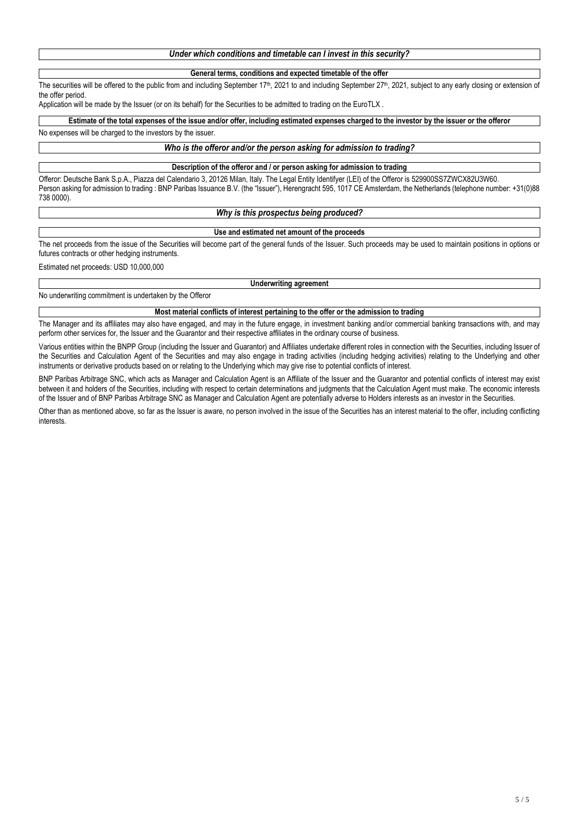# *Under which conditions and timetable can I invest in this security?*

### **General terms, conditions and expected timetable of the offer**

The securities will be offered to the public from and including September  $17<sup>th</sup>$ , 2021 to and including September  $27<sup>th</sup>$ , 2021, subject to any early closing or extension of the offer period.

Application will be made by the Issuer (or on its behalf) for the Securities to be admitted to trading on the EuroTLX.

#### **Estimate of the total expenses of the issue and/or offer, including estimated expenses charged to the investor by the issuer or the offeror**

#### No expenses will be charged to the investors by the issuer.

### *Who is the offeror and/or the person asking for admission to trading?*

#### **Description of the offeror and / or person asking for admission to trading**

Offeror: Deutsche Bank S.p.A., Piazza del Calendario 3, 20126 Milan, Italy. The Legal Entity Identifyer (LEI) of the Offeror is 529900SS7ZWCX82U3W60. Person asking for admission to trading : BNP Paribas Issuance B.V. (the "Issuer"), Herengracht 595, 1017 CE Amsterdam, the Netherlands (telephone number: +31(0)88 738 0000).

#### *Why is this prospectus being produced?*

#### **Use and estimated net amount of the proceeds**

The net proceeds from the issue of the Securities will become part of the general funds of the Issuer. Such proceeds may be used to maintain positions in options or futures contracts or other hedging instruments.

Estimated net proceeds: USD 10,000,000

#### **Underwriting agreement**

No underwriting commitment is undertaken by the Offeror

## **Most material conflicts of interest pertaining to the offer or the admission to trading**

The Manager and its affiliates may also have engaged, and may in the future engage, in investment banking and/or commercial banking transactions with, and may perform other services for, the Issuer and the Guarantor and their respective affiliates in the ordinary course of business.

Various entities within the BNPP Group (including the Issuer and Guarantor) and Affiliates undertake different roles in connection with the Securities, including Issuer of the Securities and Calculation Agent of the Securities and may also engage in trading activities (including hedging activities) relating to the Underlying and other instruments or derivative products based on or relating to the Underlying which may give rise to potential conflicts of interest.

BNP Paribas Arbitrage SNC, which acts as Manager and Calculation Agent is an Affiliate of the Issuer and the Guarantor and potential conflicts of interest may exist between it and holders of the Securities, including with respect to certain determinations and judgments that the Calculation Agent must make. The economic interests of the Issuer and of BNP Paribas Arbitrage SNC as Manager and Calculation Agent are potentially adverse to Holders interests as an investor in the Securities.

Other than as mentioned above, so far as the Issuer is aware, no person involved in the issue of the Securities has an interest material to the offer, including conflicting interests.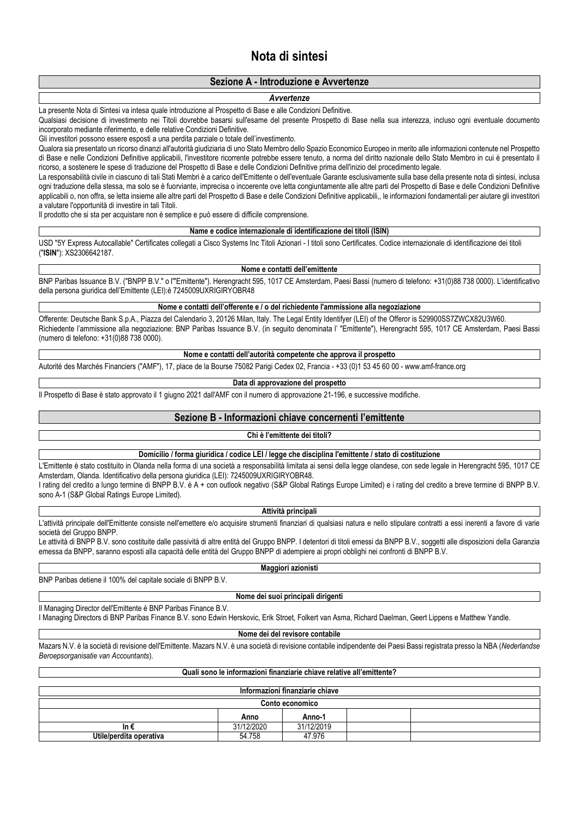# **Nota di sintesi**

# **Sezione A - Introduzione e Avvertenze**

#### *Avvertenze*

La presente Nota di Sintesi va intesa quale introduzione al Prospetto di Base e alle Condizioni Definitive.

Qualsiasi decisione di investimento nei Titoli dovrebbe basarsi sull'esame del presente Prospetto di Base nella sua interezza, incluso ogni eventuale documento incorporato mediante riferimento, e delle relative Condizioni Definitive.

Gli investitori possono essere esposti a una perdita parziale o totale dell'investimento.

Qualora sia presentato un ricorso dinanzi all'autorità giudiziaria di uno Stato Membro dello Spazio Economico Europeo in merito alle informazioni contenute nel Prospetto di Base e nelle Condizioni Definitive applicabili, l'investitore ricorrente potrebbe essere tenuto, a norma del diritto nazionale dello Stato Membro in cui è presentato il ricorso, a sostenere le spese di traduzione del Prospetto di Base e delle Condizioni Definitive prima dell'inizio del procedimento legale.

La responsabilità civile in ciascuno di tali Stati Membri è a carico dell'Emittente o dell'eventuale Garante esclusivamente sulla base della presente nota di sintesi, inclusa ogni traduzione della stessa, ma solo se è fuorviante, imprecisa o incoerente ove letta congiuntamente alle altre parti del Prospetto di Base e delle Condizioni Definitive applicabili o, non offra, se letta insieme alle altre parti del Prospetto di Base e delle Condizioni Definitive applicabili,, le informazioni fondamentali per aiutare gli investitori a valutare l'opportunità di investire in tali Titoli.

Il prodotto che si sta per acquistare non è semplice e può essere di difficile comprensione.

#### **Name e codice internazionale di identificazione dei titoli (ISIN)**

USD "5Y Express Autocallable" Certificates collegati a Cisco Systems Inc Titoli Azionari - I titoli sono Certificates. Codice internazionale di identificazione dei titoli ("**ISIN**"): XS2306642187.

#### **Nome e contatti dell'emittente**

BNP Paribas Issuance B.V. ("BNPP B.V." o l'"Emittente"). Herengracht 595, 1017 CE Amsterdam, Paesi Bassi (numero di telefono: +31(0)88 738 0000). L'identificativo della persona giuridica dell'Emittente (LEI):è 7245009UXRIGIRYOBR48

**Nome e contatti dell'offerente e / o del richiedente l'ammissione alla negoziazione**

Offerente: Deutsche Bank S.p.A., Piazza del Calendario 3, 20126 Milan, Italy. The Legal Entity Identifyer (LEI) of the Offeror is 529900SS7ZWCX82U3W60. Richiedente l'ammissione alla negoziazione: BNP Paribas Issuance B.V. (in seguito denominata l' "Emittente"), Herengracht 595, 1017 CE Amsterdam, Paesi Bassi (numero di telefono: +31(0)88 738 0000).

**Nome e contatti dell'autorità competente che approva il prospetto**

Autorité des Marchés Financiers ("AMF"), 17, place de la Bourse 75082 Parigi Cedex 02, Francia - +33 (0)1 53 45 60 00 - www.amf-france.org

#### **Data di approvazione del prospetto**

Il Prospetto di Base è stato approvato il 1 giugno 2021 dall'AMF con il numero di approvazione 21-196, e successive modifiche.

## **Sezione B - Informazioni chiave concernenti l'emittente**

### **Chi è l'emittente dei titoli?**

#### **Domicilio / forma giuridica / codice LEI / legge che disciplina l'emittente / stato di costituzione**

L'Emittente è stato costituito in Olanda nella forma di una società a responsabilità limitata ai sensi della legge olandese, con sede legale in Herengracht 595, 1017 CE Amsterdam, Olanda. Identificativo della persona giuridica (LEI): 7245009UXRIGIRYOBR48.

I rating del credito a lungo termine di BNPP B.V. è A + con outlook negativo (S&P Global Ratings Europe Limited) e i rating del credito a breve termine di BNPP B.V. sono A-1 (S&P Global Ratings Europe Limited).

#### **Attività principali**

L'attività principale dell'Emittente consiste nell'emettere e/o acquisire strumenti finanziari di qualsiasi natura e nello stipulare contratti a essi inerenti a favore di varie società del Gruppo BNPP.

Le attività di BNPP B.V. sono costituite dalle passività di altre entità del Gruppo BNPP. I detentori di titoli emessi da BNPP B.V., soggetti alle disposizioni della Garanzia emessa da BNPP, saranno esposti alla capacità delle entità del Gruppo BNPP di adempiere ai propri obblighi nei confronti di BNPP B.V.

BNP Paribas detiene il 100% del capitale sociale di BNPP B.V.

#### **Nome dei suoi principali dirigenti**

Il Managing Director dell'Emittente è BNP Paribas Finance B.V.

I Managing Directors di BNP Paribas Finance B.V. sono Edwin Herskovic, Erik Stroet, Folkert van Asma, Richard Daelman, Geert Lippens e Matthew Yandle.

#### **Nome dei del revisore contabile**

Mazars N.V. è la società di revisione dell'Emittente. Mazars N.V. è una società di revisione contabile indipendente dei Paesi Bassi registrata presso la NBA (*Nederlandse Beroepsorganisatie van Accountants*).

## **Quali sono le informazioni finanziarie chiave relative all'emittente?**

| Informazioni finanziarie chiave |            |            |  |  |  |  |
|---------------------------------|------------|------------|--|--|--|--|
| <b>Conto economico</b>          |            |            |  |  |  |  |
| Anno-1<br>Anno                  |            |            |  |  |  |  |
| In €                            | 31/12/2020 | 31/12/2019 |  |  |  |  |
| Utile/perdita operativa         | 54.758     | 47.976     |  |  |  |  |

# **Maggiori azionisti**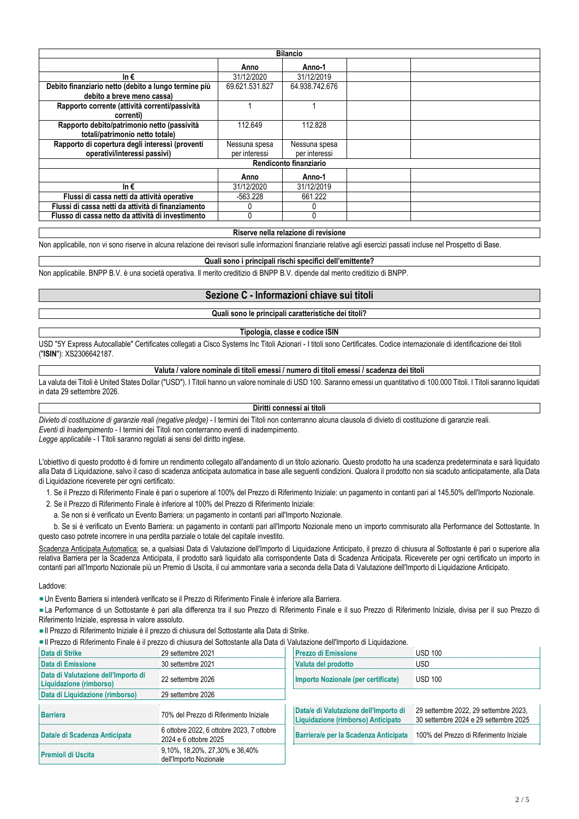| <b>Bilancio</b>                                      |                |                |  |  |  |  |  |
|------------------------------------------------------|----------------|----------------|--|--|--|--|--|
|                                                      | Anno           | Anno-1         |  |  |  |  |  |
| In $\epsilon$                                        | 31/12/2020     | 31/12/2019     |  |  |  |  |  |
| Debito finanziario netto (debito a lungo termine più | 69.621.531.827 | 64.938.742.676 |  |  |  |  |  |
| debito a breve meno cassa)                           |                |                |  |  |  |  |  |
| Rapporto corrente (attività correnti/passività       |                |                |  |  |  |  |  |
| correnti)                                            |                |                |  |  |  |  |  |
| Rapporto debito/patrimonio netto (passività          | 112.649        | 112.828        |  |  |  |  |  |
| totali/patrimonio netto totale)                      |                |                |  |  |  |  |  |
| Rapporto di copertura degli interessi (proventi      | Nessuna spesa  | Nessuna spesa  |  |  |  |  |  |
| operativi/interessi passivi)                         | per interessi  | per interessi  |  |  |  |  |  |
| Rendiconto finanziario                               |                |                |  |  |  |  |  |
|                                                      | Anno           | Anno-1         |  |  |  |  |  |
| In $\epsilon$                                        | 31/12/2020     | 31/12/2019     |  |  |  |  |  |
| Flussi di cassa netti da attività operative          | $-563.228$     | 661.222        |  |  |  |  |  |
| Flussi di cassa netti da attività di finanziamento   |                |                |  |  |  |  |  |
| Flusso di cassa netto da attività di investimento    |                |                |  |  |  |  |  |

#### **Riserve nella relazione di revisione**

Non applicabile, non vi sono riserve in alcuna relazione dei revisori sulle informazioni finanziarie relative agli esercizi passati incluse nel Prospetto di Base.

# **Quali sono i principali rischi specifici dell'emittente?**

Non applicabile. BNPP B.V. è una società operativa. Il merito creditizio di BNPP B.V. dipende dal merito creditizio di BNPP.

# **Sezione C - Informazioni chiave sui titoli**

**Quali sono le principali caratteristiche dei titoli?**

#### **Tipologia, classe e codice ISIN**

USD "5Y Express Autocallable" Certificates collegati a Cisco Systems Inc Titoli Azionari - I titoli sono Certificates. Codice internazionale di identificazione dei titoli ("**ISIN**"): XS2306642187.

## **Valuta / valore nominale di titoli emessi / numero di titoli emessi / scadenza dei titoli**

La valuta dei Titoli è United States Dollar ("USD"). I Titoli hanno un valore nominale di USD 100. Saranno emessi un quantitativo di 100.000 Titoli. I Titoli saranno liquidati in data 29 settembre 2026.

#### **Diritti connessi ai titoli**

*Divieto di costituzione di garanzie reali (negative pledge)* - I termini dei Titoli non conterranno alcuna clausola di divieto di costituzione di garanzie reali. *Eventi di Inadempimento* - I termini dei Titoli non conterranno eventi di inadempimento. *Legge applicabile* - I Titoli saranno regolati ai sensi del diritto inglese.

L'obiettivo di questo prodotto è di fornire un rendimento collegato all'andamento di un titolo azionario. Questo prodotto ha una scadenza predeterminata e sarà liquidato alla Data di Liquidazione, salvo il caso di scadenza anticipata automatica in base alle seguenti condizioni. Qualora il prodotto non sia scaduto anticipatamente, alla Data di Liquidazione riceverete per ogni certificato:

- 1. Se il Prezzo di Riferimento Finale è pari o superiore al 100% del Prezzo di Riferimento Iniziale: un pagamento in contanti pari al 145,50% dell'Importo Nozionale.
- 2. Se il Prezzo di Riferimento Finale è inferiore al 100% del Prezzo di Riferimento Iniziale:
	- a. Se non si è verificato un Evento Barriera: un pagamento in contanti pari all'Importo Nozionale.

 b. Se si è verificato un Evento Barriera: un pagamento in contanti pari all'Importo Nozionale meno un importo commisurato alla Performance del Sottostante. In questo caso potrete incorrere in una perdita parziale o totale del capitale investito.

Scadenza Anticipata Automatica: se, a qualsiasi Data di Valutazione dell'Importo di Liquidazione Anticipato, il prezzo di chiusura al Sottostante è pari o superiore alla relativa Barriera per la Scadenza Anticipata, il prodotto sarà liquidato alla corrispondente Data di Scadenza Anticipata. Riceverete per ogni certificato un importo in contanti pari all'Importo Nozionale più un Premio di Uscita, il cui ammontare varia a seconda della Data di Valutazione dell'Importo di Liquidazione Anticipato.

#### Laddove:

Un Evento Barriera si intenderà verificato se il Prezzo di Riferimento Finale è inferiore alla Barriera.

La Performance di un Sottostante è pari alla differenza tra il suo Prezzo di Riferimento Finale e il suo Prezzo di Riferimento Iniziale, divisa per il suo Prezzo di Riferimento Iniziale, espressa in valore assoluto.

Il Prezzo di Riferimento Iniziale è il prezzo di chiusura del Sottostante alla Data di Strike.

Il Prezzo di Riferimento Finale è il prezzo di chiusura del Sottostante alla Data di Valutazione dell'Importo di Liquidazione.

| Data di Strike                                                 | 29 settembre 2021                                                  | <b>Prezzo di Emissione</b>                                                  | <b>USD 100</b>                                                                 |
|----------------------------------------------------------------|--------------------------------------------------------------------|-----------------------------------------------------------------------------|--------------------------------------------------------------------------------|
| Data di Emissione                                              | 30 settembre 2021                                                  | Valuta del prodotto                                                         | USD.                                                                           |
| Data di Valutazione dell'Importo di<br>Liquidazione (rimborso) | 22 settembre 2026                                                  | Importo Nozionale (per certificate)                                         | <b>USD 100</b>                                                                 |
| Data di Liquidazione (rimborso)                                | 29 settembre 2026                                                  |                                                                             |                                                                                |
| <b>Barriera</b>                                                | 70% del Prezzo di Riferimento Iniziale                             | Data/e di Valutazione dell'Importo di<br>Liquidazione (rimborso) Anticipato | 29 settembre 2022, 29 settembre 2023,<br>30 settembre 2024 e 29 settembre 2025 |
| Data/e di Scadenza Anticipata                                  | 6 ottobre 2022, 6 ottobre 2023, 7 ottobre<br>2024 e 6 ottobre 2025 | Barriera/e per la Scadenza Anticipata                                       | 100% del Prezzo di Riferimento Iniziale                                        |
| <b>Premio/i di Uscita</b>                                      | 9,10%, 18,20%, 27,30% e 36,40%<br>dell'Importo Nozionale           |                                                                             |                                                                                |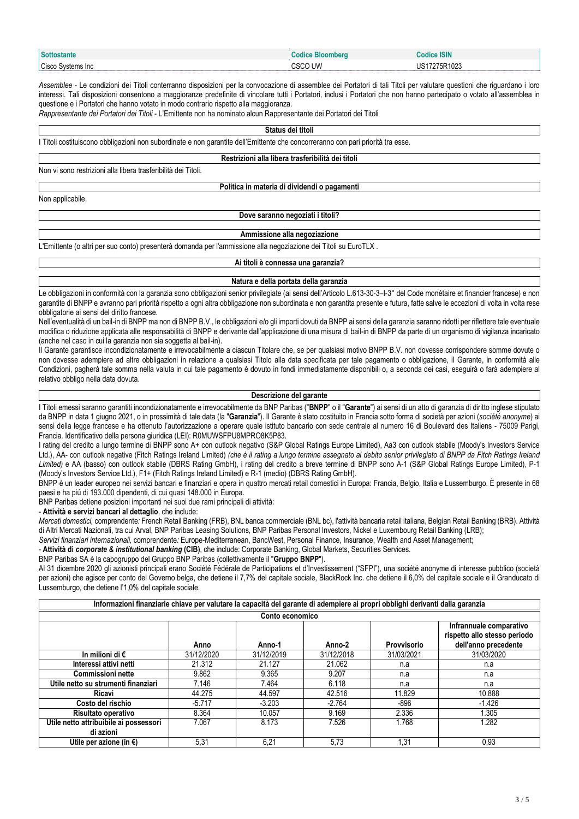| <b>Sottostante</b>   | <b>Bloomber</b> | <b>Codice ISIN</b>        |
|----------------------|-----------------|---------------------------|
| Cisco<br>Svstems Inc | CSCO UW         | 275R1023<br>∘ בו ו<br>υo. |

*Assemblee* - Le condizioni dei Titoli conterranno disposizioni per la convocazione di assemblee dei Portatori di tali Titoli per valutare questioni che riguardano i loro interessi. Tali disposizioni consentono a maggioranze predefinite di vincolare tutti i Portatori, inclusi i Portatori che non hanno partecipato o votato all'assemblea in questione e i Portatori che hanno votato in modo contrario rispetto alla maggioranza.

*Rappresentante dei Portatori dei Titoli* - L'Emittente non ha nominato alcun Rappresentante dei Portatori dei Titoli

#### **Status dei titoli**

I Titoli costituiscono obbligazioni non subordinate e non garantite dell'Emittente che concorreranno con pari priorità tra esse.

#### **Restrizioni alla libera trasferibilità dei titoli**

Non vi sono restrizioni alla libera trasferibilità dei Titoli.

## **Politica in materia di dividendi o pagamenti**

Non applicabile.

#### **Dove saranno negoziati i titoli?**

#### **Ammissione alla negoziazione**

L'Emittente (o altri per suo conto) presenterà domanda per l'ammissione alla negoziazione dei Titoli su EuroTLX .

## **Ai titoli è connessa una garanzia?**

#### **Natura e della portata della garanzia**

Le obbligazioni in conformità con la garanzia sono obbligazioni senior privilegiate (ai sensi dell'Articolo L.613-30-3-I-3° del Code monétaire et financier francese) e non garantite di BNPP e avranno pari priorità rispetto a ogni altra obbligazione non subordinata e non garantita presente e futura, fatte salve le eccezioni di volta in volta rese obbligatorie ai sensi del diritto francese.

Nell'eventualità di un bail-in di BNPP ma non di BNPP B.V., le obbligazioni e/o gli importi dovuti da BNPP ai sensi della garanzia saranno ridotti per riflettere tale eventuale modifica o riduzione applicata alle responsabilità di BNPP e derivante dall'applicazione di una misura di bail-in di BNPP da parte di un organismo di vigilanza incaricato (anche nel caso in cui la garanzia non sia soggetta al bail-in).

Il Garante garantisce incondizionatamente e irrevocabilmente a ciascun Titolare che, se per qualsiasi motivo BNPP B.V. non dovesse corrispondere somme dovute o non dovesse adempiere ad altre obbligazioni in relazione a qualsiasi Titolo alla data specificata per tale pagamento o obbligazione, il Garante, in conformità alle Condizioni, pagherà tale somma nella valuta in cui tale pagamento è dovuto in fondi immediatamente disponibili o, a seconda dei casi, eseguirà o farà adempiere al relativo obbligo nella data dovuta.

#### **Descrizione del garante**

I Titoli emessi saranno garantiti incondizionatamente e irrevocabilmente da BNP Paribas ("**BNPP**" o il "**Garante**") ai sensi di un atto di garanzia di diritto inglese stipulato da BNPP in data 1 giugno 2021, o in prossimità di tale data (la "**Garanzia**"). Il Garante è stato costituito in Francia sotto forma di società per azioni (*société anonyme*) ai sensi della legge francese e ha ottenuto l'autorizzazione a operare quale istituto bancario con sede centrale al numero 16 di Boulevard des Italiens - 75009 Parigi, Francia. Identificativo della persona giuridica (LEI): R0MUWSFPU8MPRO8K5P83.

I rating del credito a lungo termine di BNPP sono A+ con outlook negativo (S&P Global Ratings Europe Limited), Aa3 con outlook stabile (Moody's Investors Service Ltd.), AA- con outlook negative (Fitch Ratings Ireland Limited) *(che è il rating a lungo termine assegnato al debito senior privilegiato di BNPP da Fitch Ratings Ireland Limited)* e AA (basso) con outlook stabile (DBRS Rating GmbH), i rating del credito a breve termine di BNPP sono A-1 (S&P Global Ratings Europe Limited), P-1 (Moody's Investors Service Ltd.), F1+ (Fitch Ratings Ireland Limited) e R-1 (medio) (DBRS Rating GmbH).

BNPP è un leader europeo nei servizi bancari e finanziari e opera in quattro mercati retail domestici in Europa: Francia, Belgio, Italia e Lussemburgo. È presente in 68 paesi e ha piú di 193.000 dipendenti, di cui quasi 148.000 in Europa.

BNP Paribas detiene posizioni importanti nei suoi due rami principali di attività:

## - **Attività e servizi bancari al dettaglio**, che include:

*Mercati domestici,* comprendente*:* French Retail Banking (FRB), BNL banca commerciale (BNL bc), l'attività bancaria retail italiana, Belgian Retail Banking (BRB). Attività di Altri Mercati Nazionali, tra cui Arval, BNP Paribas Leasing Solutions, BNP Paribas Personal Investors, Nickel e Luxembourg Retail Banking (LRB);

*Servizi finanziari internazionali,* comprendente*:* Europe-Mediterranean, BancWest, Personal Finance, Insurance, Wealth and Asset Management;

- **Attività di** *corporate & institutional banking* **(CIB)**, che include: Corporate Banking, Global Markets, Securities Services.

BNP Paribas SA è la capogruppo del Gruppo BNP Paribas (collettivamente il "**Gruppo BNPP**").

Al 31 dicembre 2020 gli azionisti principali erano Société Fédérale de Participations et d'Investissement ("SFPI"), una société anonyme di interesse pubblico (società per azioni) che agisce per conto del Governo belga, che detiene il 7,7% del capitale sociale, BlackRock Inc. che detiene il 6,0% del capitale sociale e il Granducato di Lussemburgo, che detiene l'1,0% del capitale sociale.

| Informazioni finanziarie chiave per valutare la capacità del garante di adempiere ai propri obblighi derivanti dalla garanzia |            |                 |            |             |                                                                                 |
|-------------------------------------------------------------------------------------------------------------------------------|------------|-----------------|------------|-------------|---------------------------------------------------------------------------------|
|                                                                                                                               |            | Conto economico |            |             |                                                                                 |
|                                                                                                                               | Anno       | Anno-1          | Anno-2     | Provvisorio | Infrannuale comparativo<br>rispetto allo stesso periodo<br>dell'anno precedente |
| In milioni di €                                                                                                               | 31/12/2020 | 31/12/2019      | 31/12/2018 | 31/03/2021  | 31/03/2020                                                                      |
| Interessi attivi netti                                                                                                        | 21.312     | 21.127          | 21.062     | n.a         | n.a                                                                             |
| <b>Commissioni nette</b>                                                                                                      | 9.862      | 9.365           | 9.207      | n.a         | n.a                                                                             |
| Utile netto su strumenti finanziari                                                                                           | 7.146      | 7.464           | 6.118      | n.a         | n.a                                                                             |
| Ricavi                                                                                                                        | 44.275     | 44.597          | 42.516     | 11.829      | 10.888                                                                          |
| Costo del rischio                                                                                                             | $-5.717$   | $-3.203$        | $-2.764$   | -896        | $-1.426$                                                                        |
| Risultato operativo                                                                                                           | 8.364      | 10.057          | 9.169      | 2.336       | 1.305                                                                           |
| Utile netto attribuibile ai possessori<br>di azioni                                                                           | 7.067      | 8.173           | 7.526      | 1.768       | 1.282                                                                           |
| Utile per azione (in $\epsilon$ )                                                                                             | 5,31       | 6,21            | 5,73       | 1,31        | 0.93                                                                            |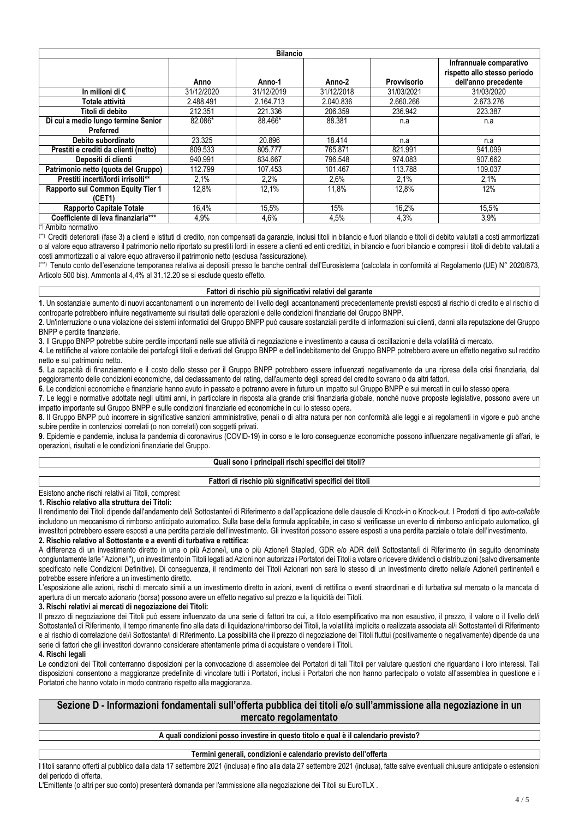| <b>Bilancio</b>                       |            |            |            |             |                                                         |
|---------------------------------------|------------|------------|------------|-------------|---------------------------------------------------------|
|                                       |            |            |            |             | Infrannuale comparativo<br>rispetto allo stesso periodo |
|                                       | Anno       | Anno-1     | Anno-2     | Provvisorio | dell'anno precedente                                    |
| In milioni di €                       | 31/12/2020 | 31/12/2019 | 31/12/2018 | 31/03/2021  | 31/03/2020                                              |
| Totale attività                       | 2.488.491  | 2.164.713  | 2.040.836  | 2.660.266   | 2.673.276                                               |
| Titoli di debito                      | 212.351    | 221.336    | 206.359    | 236.942     | 223.387                                                 |
| Di cui a medio lungo termine Senior   | 82.086*    | 88.466*    | 88.381     | n.a         | n.a                                                     |
| Preferred                             |            |            |            |             |                                                         |
| Debito subordinato                    | 23.325     | 20.896     | 18.414     | n.a         | n.a                                                     |
| Prestiti e crediti da clienti (netto) | 809.533    | 805.777    | 765.871    | 821.991     | 941.099                                                 |
| Depositi di clienti                   | 940.991    | 834.667    | 796.548    | 974.083     | 907.662                                                 |
| Patrimonio netto (quota del Gruppo)   | 112.799    | 107.453    | 101.467    | 113.788     | 109.037                                                 |
| Prestiti incerti/lordi irrisolti**    | 2.1%       | 2,2%       | 2,6%       | 2.1%        | 2.1%                                                    |
| Rapporto sul Common Equity Tier 1     | 12.8%      | 12.1%      | 11.8%      | 12.8%       | 12%                                                     |
| (CET1)                                |            |            |            |             |                                                         |
| <b>Rapporto Capitale Totale</b>       | 16,4%      | 15,5%      | 15%        | 16,2%       | 15,5%                                                   |
| Coefficiente di leva finanziaria***   | 4,9%       | 4,6%       | 4,5%       | 4,3%        | 3,9%                                                    |

(\*) Ambito normativo

(\*\*) Crediti deteriorati (fase 3) a clienti e istituti di credito, non compensati da garanzie, inclusi titoli in bilancio e fuori bilancio e titoli di debito valutati a costi ammortizzati o al valore equo attraverso il patrimonio netto riportato su prestiti lordi in essere a clienti ed enti creditizi, in bilancio e fuori bilancio e compresi i titoli di debito valutati a costi ammortizzati o al valore equo attraverso il patrimonio netto (esclusa l'assicurazione).

(\*\*\*) Tenuto conto dell'esenzione temporanea relativa ai depositi presso le banche centrali dell'Eurosistema (calcolata in conformità al Regolamento (UE) N° 2020/873, Articolo 500 bis). Ammonta al 4,4% al 31.12.20 se si esclude questo effetto.

## **Fattori di rischio più significativi relativi del garante**

**1**. Un sostanziale aumento di nuovi accantonamenti o un incremento del livello degli accantonamenti precedentemente previsti esposti al rischio di credito e al rischio di controparte potrebbero influire negativamente sui risultati delle operazioni e delle condizioni finanziarie del Gruppo BNPP.

**2**. Un'interruzione o una violazione dei sistemi informatici del Gruppo BNPP può causare sostanziali perdite di informazioni sui clienti, danni alla reputazione del Gruppo BNPP e perdite finanziarie.

**3**. Il Gruppo BNPP potrebbe subire perdite importanti nelle sue attività di negoziazione e investimento a causa di oscillazioni e della volatilità di mercato.

**4**. Le rettifiche al valore contabile dei portafogli titoli e derivati del Gruppo BNPP e dell'indebitamento del Gruppo BNPP potrebbero avere un effetto negativo sul reddito netto e sul patrimonio netto.

**5**. La capacità di finanziamento e il costo dello stesso per il Gruppo BNPP potrebbero essere influenzati negativamente da una ripresa della crisi finanziaria, dal peggioramento delle condizioni economiche, dal declassamento del rating, dall'aumento degli spread del credito sovrano o da altri fattori.

**6**. Le condizioni economiche e finanziarie hanno avuto in passato e potranno avere in futuro un impatto sul Gruppo BNPP e sui mercati in cui lo stesso opera.

**7**. Le leggi e normative adottate negli ultimi anni, in particolare in risposta alla grande crisi finanziaria globale, nonché nuove proposte legislative, possono avere un impatto importante sul Gruppo BNPP e sulle condizioni finanziarie ed economiche in cui lo stesso opera.

**8**. Il Gruppo BNPP può incorrere in significative sanzioni amministrative, penali o di altra natura per non conformità alle leggi e ai regolamenti in vigore e può anche subire perdite in contenziosi correlati (o non correlati) con soggetti privati.

**9**. Epidemie e pandemie, inclusa la pandemia di coronavirus (COVID-19) in corso e le loro conseguenze economiche possono influenzare negativamente gli affari, le operazioni, risultati e le condizioni finanziarie del Gruppo.

#### **Quali sono i principali rischi specifici dei titoli?**

# **Fattori di rischio più significativi specifici dei titoli**

Esistono anche rischi relativi ai Titoli, compresi:

**1. Rischio relativo alla struttura dei Titoli:**

Il rendimento dei Titoli dipende dall'andamento del/i Sottostante/i di Riferimento e dall'applicazione delle clausole di Knock-in o Knock-out. I Prodotti di tipo auto-callable includono un meccanismo di rimborso anticipato automatico. Sulla base della formula applicabile, in caso si verificasse un evento di rimborso anticipato automatico, gli investitori potrebbero essere esposti a una perdita parziale dell'investimento. Gli investitori possono essere esposti a una perdita parziale o totale dell'investimento.

## **2. Rischio relativo al Sottostante e a eventi di turbativa e rettifica:**

A differenza di un investimento diretto in una o più Azione/i, una o più Azione/i Stapled, GDR e/o ADR del/i Sottostante/i di Riferimento (in sequito denominate congiuntamente la/le "Azione/i"), un investimento in Titoli legati ad Azioni non autorizza i Portatori dei Titoli a votare o ricevere dividendi o distribuzioni (salvo diversamente specificato nelle Condizioni Definitive). Di conseguenza, il rendimento dei Titoli Azionari non sarà lo stesso di un investimento diretto nella/e Azione/i pertinente/i e potrebbe essere inferiore a un investimento diretto.

L'esposizione alle azioni, rischi di mercato simili a un investimento diretto in azioni, eventi di rettifica o eventi straordinari e di turbativa sul mercato o la mancata di apertura di un mercato azionario (borsa) possono avere un effetto negativo sul prezzo e la liquidità dei Titoli.

#### **3. Rischi relativi ai mercati di negoziazione dei Titoli:**

Il prezzo di negoziazione dei Titoli può essere influenzato da una serie di fattori tra cui, a titolo esemplificativo ma non esaustivo, il prezzo, il valore o il livello del/i Sottostante/i di Riferimento, il tempo rimanente fino alla data di liquidazione/rimborso dei Titoli, la volatilità implicita o realizzata associata al/i Sottostante/i di Riferimento e al rischio di correlazione del/i Sottostante/i di Riferimento. La possibilità che il prezzo di negoziazione dei Titoli fluttui (positivamente o negativamente) dipende da una serie di fattori che gli investitori dovranno considerare attentamente prima di acquistare o vendere i Titoli.

### **4. Rischi legali**

Le condizioni dei Titoli conterranno disposizioni per la convocazione di assemblee dei Portatori di tali Titoli per valutare questioni che riguardano i loro interessi. Tali disposizioni consentono a maggioranze predefinite di vincolare tutti i Portatori, inclusi i Portatori che non hanno partecipato o votato all'assemblea in questione e i Portatori che hanno votato in modo contrario rispetto alla maggioranza.

# **Sezione D - Informazioni fondamentali sull'offerta pubblica dei titoli e/o sull'ammissione alla negoziazione in un mercato regolamentato**

## **A quali condizioni posso investire in questo titolo e qual è il calendario previsto?**

#### **Termini generali, condizioni e calendario previsto dell'offerta**

I titoli saranno offerti al pubblico dalla data 17 settembre 2021 (inclusa) e fino alla data 27 settembre 2021 (inclusa), fatte salve eventuali chiusure anticipate o estensioni del periodo di offerta.

L'Emittente (o altri per suo conto) presenterà domanda per l'ammissione alla negoziazione dei Titoli su EuroTLX .